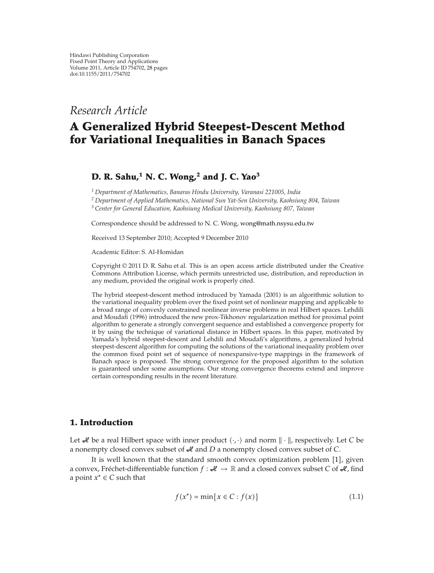*Research Article*

# **A Generalized Hybrid Steepest-Descent Method for Variational Inequalities in Banach Spaces**

## **D. R. Sahu,<sup>1</sup> N. C. Wong,2 and J. C. Yao<sup>3</sup>**

*<sup>1</sup> Department of Mathematics, Banaras Hindu University, Varanasi 221005, India*

*<sup>2</sup> Department of Applied Mathematics, National Sun Yat-Sen University, Kaohsiung 804, Taiwan*

*<sup>3</sup> Center for General Education, Kaohsiung Medical University, Kaohsiung 807, Taiwan*

Correspondence should be addressed to N. C. Wong, wong@math.nsysu.edu.tw

Received 13 September 2010; Accepted 9 December 2010

Academic Editor: S. Al-Homidan

Copyright  $@ 2011$  D. R. Sahu et al. This is an open access article distributed under the Creative Commons Attribution License, which permits unrestricted use, distribution, and reproduction in any medium, provided the original work is properly cited.

The hybrid steepest-descent method introduced by Yamada (2001) is an algorithmic solution to the variational inequality problem over the fixed point set of nonlinear mapping and applicable to a broad range of convexly constrained nonlinear inverse problems in real Hilbert spaces. Lehdili and Moudafi (1996) introduced the new prox-Tikhonov regularization method for proximal point algorithm to generate a strongly convergent sequence and established a convergence property for it by using the technique of variational distance in Hilbert spaces. In this paper, motivated by Yamada's hybrid steepest-descent and Lehdili and Moudafi's algorithms, a generalized hybrid steepest-descent algorithm for computing the solutions of the variational inequality problem over the common fixed point set of sequence of nonexpansive-type mappings in the framework of Banach space is proposed. The strong convergence for the proposed algorithm to the solution is guaranteed under some assumptions. Our strong convergence theorems extend and improve certain corresponding results in the recent literature.

## **1. Introduction**

Let  $\mathcal A$  be a real Hilbert space with inner product  $\langle \cdot, \cdot \rangle$  and norm  $\|\cdot\|$ , respectively. Let C be a nonempty closed convex subset of  $\mathcal A$  and *D* a nonempty closed convex subset of *C*.

It is well known that the standard smooth convex optimization problem  $[1]$ , given a convex, Frechet-differentiable function  $f : \mathcal{H} \to \mathbb{R}$  and a closed convex subset *C* of  $\mathcal{H}$ , find a point *x*<sup>∗</sup> ∈ *C* such that

$$
f(x^*) = \min\{x \in C : f(x)\}\tag{1.1}
$$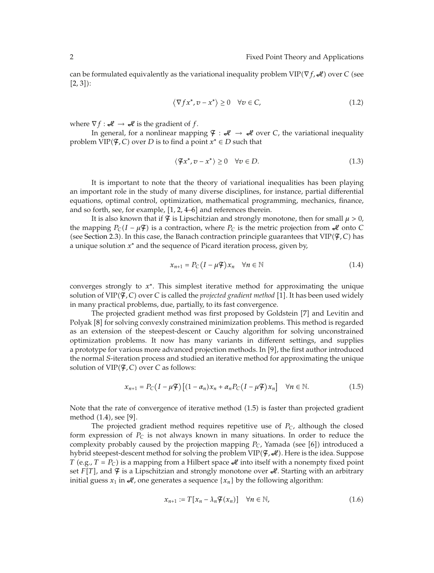can be formulated equivalently as the variational inequality problem  $\text{VIP}(\nabla f, \mathcal{H})$  over  $C$  (see  $[2, 3]$ :

$$
\langle \nabla f x^*, v - x^* \rangle \ge 0 \quad \forall v \in C,
$$
\n(1.2)

where  $\nabla f : \mathcal{H} \to \mathcal{H}$  is the gradient of *f*.

In general, for a nonlinear mapping  $\mathcal{F} : \mathcal{H} \to \mathcal{H}$  over *C*, the variational inequality  $\text{problem } \text{VIP}(\mathcal{F}, \mathcal{C}) \text{ over } \mathcal{D} \text{ is to find a point } x^* \in \mathcal{D} \text{ such that }$ 

$$
\langle \mathfrak{F}x^*, v - x^* \rangle \ge 0 \quad \forall v \in D. \tag{1.3}
$$

It is important to note that the theory of variational inequalities has been playing an important role in the study of many diverse disciplines, for instance, partial differential equations, optimal control, optimization, mathematical programming, mechanics, finance, and so forth, see, for example,  $[1, 2, 4-6]$  and references therein.

It is also known that if  $\mathcal{F}$  is Lipschitzian and strongly monotone, then for small  $\mu > 0$ , the mapping  $P_C(I - \mu \mathcal{F})$  is a contraction, where  $P_C$  is the metric projection from  $\mathcal{A}$  onto *C* (see Section 2.3). In this case, the Banach contraction principle guarantees that  $VIP(\mathcal{F}, C)$  has a unique solution *x*<sup>∗</sup> and the sequence of Picard iteration process, given by,

$$
x_{n+1} = P_C (I - \mu \mathcal{F}) x_n \quad \forall n \in \mathbb{N}
$$
 (1.4)

converges strongly to *x*∗. This simplest iterative method for approximating the unique solution of VIP( $\mathcal{F}, C$ ) over *C* is called the *projected gradient method* [1]. It has been used widely in many practical problems, due, partially, to its fast convergence.

The projected gradient method was first proposed by Goldstein [7] and Levitin and Polyak [8] for solving convexly constrained minimization problems. This method is regarded as an extension of the steepest-descent or Cauchy algorithm for solving unconstrained optimization problems. It now has many variants in different settings, and supplies a prototype for various more advanced projection methods. In [9], the first author introduced the normal *S*-iteration process and studied an iterative method for approximating the unique solution of  $\text{VIP}(\mathcal{F}, \mathcal{C})$  over  $\mathcal C$  as follows:

$$
x_{n+1} = P_C(I - \mu \mathcal{F})[(1 - \alpha_n)x_n + \alpha_n P_C(I - \mu \mathcal{F})x_n] \quad \forall n \in \mathbb{N}.
$$
 (1.5)

Note that the rate of convergence of iterative method (1.5) is faster than projected gradient method (1.4), see [9].

The projected gradient method requires repetitive use of *PC*, although the closed form expression of *PC* is not always known in many situations. In order to reduce the complexity probably caused by the projection mapping  $P_C$ , Yamada (see [6]) introduced a hybrid steepest-descent method for solving the problem  $\text{VIP}(\mathcal{F},\mathcal{H})$ . Here is the idea. Suppose *T* (e.g., *T* = *P<sub>C</sub>*) is a mapping from a Hilbert space  $\mathcal{A}$  into itself with a nonempty fixed point set  $F[T]$ , and  $\mathcal F$  is a Lipschitzian and strongly monotone over  $\mathcal A$ . Starting with an arbitrary initial guess  $x_1$  in  $\mathcal{A}$ , one generates a sequence  $\{x_n\}$  by the following algorithm:

$$
x_{n+1} := T[x_n - \lambda_n \mathcal{F}(x_n)] \quad \forall n \in \mathbb{N}, \tag{1.6}
$$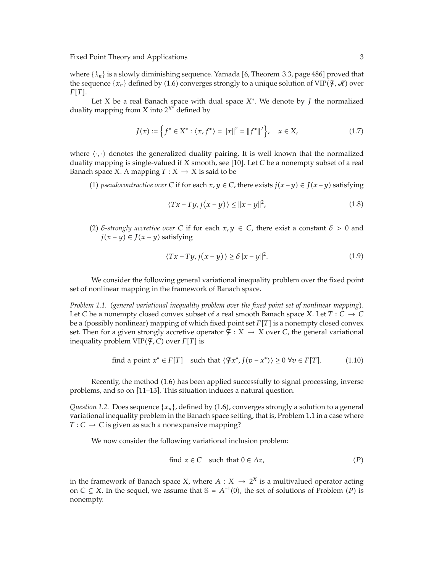where  $\{\lambda_n\}$  is a slowly diminishing sequence. Yamada [6, Theorem 3.3, page 486] proved that the sequence  $\{x_n\}$  defined by (1.6) converges strongly to a unique solution of VIP( $\mathfrak{F}, \mathcal{A}$ ) over  $F[T]$ .

Let *X* be a real Banach space with dual space *X*∗. We denote by *J* the normalized duality mapping from *X* into 2*<sup>X</sup>*<sup>∗</sup> defined by

$$
J(x) := \left\{ f^* \in X^* : \langle x, f^* \rangle = ||x||^2 = ||f^*||^2 \right\}, \quad x \in X,
$$
\n(1.7)

where  $\langle \cdot, \cdot \rangle$  denotes the generalized duality pairing. It is well known that the normalized duality mapping is single-valued if *X* smooth, see [10]. Let *C* be a nonempty subset of a real Banach space *X*. A mapping  $T: X \rightarrow X$  is said to be

(1) *pseudocontractive over*  $C$  if for each  $x, y \in C$ , there exists  $j(x−y) ∈ J(x−y)$  satisfying

$$
\langle Tx - Ty, j(x - y) \rangle \le ||x - y||^2, \tag{1.8}
$$

(2) *δ*-strongly accretive over C if for each  $x, y \in C$ , there exist a constant  $\delta > 0$  and *j*(*x* − *y*) ∈ *J*(*x* − *y*) satisfying

$$
\langle Tx - Ty, j(x - y) \rangle \ge \delta ||x - y||^2. \tag{1.9}
$$

We consider the following general variational inequality problem over the fixed point set of nonlinear mapping in the framework of Banach space.

*Problem 1.1.* -*general variational inequality problem over the fixed point set of nonlinear mapping*. Let *C* be a nonempty closed convex subset of a real smooth Banach space *X*. Let  $T: C \rightarrow C$ be a (possibly nonlinear) mapping of which fixed point set  $F[T]$  is a nonempty closed convex set. Then for a given strongly accretive operator  $\mathcal{F} : X \to X$  over C, the general variational inequality problem  $\text{VIP}(\mathcal{F}, \mathcal{C})$  over  $F[T]$  is

find a point 
$$
x^* \in F[T]
$$
 such that  $\langle \mathcal{F}x^*, J(v - x^*) \rangle \ge 0 \ \forall v \in F[T]$ . (1.10)

Recently, the method (1.6) has been applied successfully to signal processing, inverse problems, and so on [11–13]. This situation induces a natural question.

*Question 1.2.* Does sequence  $\{x_n\}$ , defined by  $(1.6)$ , converges strongly a solution to a general variational inequality problem in the Banach space setting, that is, Problem 1.1 in a case where  $T : C \to C$  is given as such a nonexpansive mapping?

We now consider the following variational inclusion problem:

find 
$$
z \in C
$$
 such that  $0 \in Az$ ,  $(P)$ 

in the framework of Banach space *X*, where  $A: X \rightarrow 2^X$  is a multivalued operator acting on *C* ⊆ *X*. In the sequel, we assume that  $\mathbb{S} = A^{-1}(0)$ , the set of solutions of Problem (*P*) is nonempty.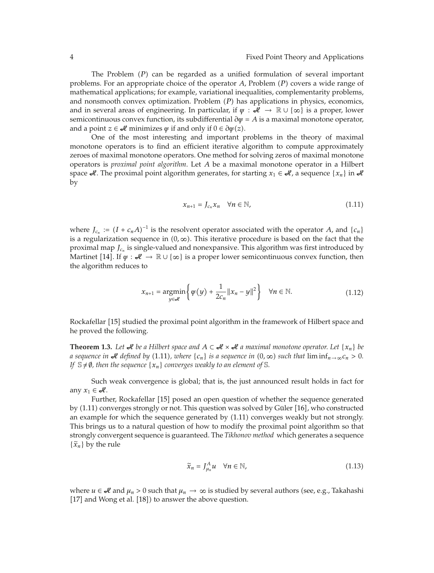The Problem (P) can be regarded as a unified formulation of several important problems. For an appropriate choice of the operator A, Problem (P) covers a wide range of mathematical applications; for example, variational inequalities, complementarity problems, and nonsmooth convex optimization. Problem (P) has applications in physics, economics, and in several areas of engineering. In particular, if  $\psi : \mathcal{H} \to \mathbb{R} \cup \{ \infty \}$  is a proper, lower semicontinuous convex function, its subdifferential  $\partial \psi = A$  is a maximal monotone operator, and a point  $z \in \mathcal{L}$  minimizes  $\psi$  if and only if  $0 \in \partial \psi(z)$ .

One of the most interesting and important problems in the theory of maximal monotone operators is to find an efficient iterative algorithm to compute approximately zeroes of maximal monotone operators. One method for solving zeros of maximal monotone operators is *proximal point algorithm*. Let *A* be a maximal monotone operator in a Hilbert space  $\mathcal{A}$ . The proximal point algorithm generates, for starting  $x_1 \in \mathcal{A}$ , a sequence  $\{x_n\}$  in  $\mathcal{A}$ by

$$
x_{n+1} = J_{c_n} x_n \quad \forall n \in \mathbb{N}, \tag{1.11}
$$

where  $J_{c_n} := (I + c_n A)^{-1}$  is the resolvent operator associated with the operator *A*, and  $\{c_n\}$ is a regularization sequence in  $(0, \infty)$ . This iterative procedure is based on the fact that the proximal map *J<sub>cn</sub>* is single-valued and nonexpansive. This algorithm was first introduced by Martinet [14]. If  $\psi : \mathcal{H} \to \mathbb{R} \cup \{\infty\}$  is a proper lower semicontinuous convex function, then the algorithm reduces to

$$
x_{n+1} = \underset{y \in \mathscr{M}}{\operatorname{argmin}} \left\{ \psi(y) + \frac{1}{2c_n} \|x_n - y\|^2 \right\} \quad \forall n \in \mathbb{N}.
$$
 (1.12)

Rockafellar [15] studied the proximal point algorithm in the framework of Hilbert space and he proved the following.

**Theorem 1.3.** Let  $\mathcal{A}$  be a Hilbert space and  $A \subset \mathcal{A} \times \mathcal{A}$  a maximal monotone operator. Let {*x<sub>n</sub>*} be *a* sequence in  $\mathcal A$  defined by (1.11), where  $\{c_n\}$  is a sequence in  $(0,\infty)$  such that  $\liminf_{n\to\infty}c_n>0$ . *If*  $\mathbb{S} \neq \emptyset$ , then the sequence  $\{x_n\}$  converges weakly to an element of S.

Such weak convergence is global; that is, the just announced result holds in fact for any  $x_1 \in \mathcal{A}$ .

Further, Rockafellar [15] posed an open question of whether the sequence generated by (1.11) converges strongly or not. This question was solved by Güler [16], who constructed an example for which the sequence generated by  $(1.11)$  converges weakly but not strongly. This brings us to a natural question of how to modify the proximal point algorithm so that strongly convergent sequence is guaranteed. The *Tikhonov method* which generates a sequence  $\{\tilde{x}_n\}$  by the rule

$$
\widetilde{x}_n = J_{\mu_n}^A u \quad \forall n \in \mathbb{N}, \tag{1.13}
$$

where  $u \in \mathcal{A}$  and  $\mu_n > 0$  such that  $\mu_n \to \infty$  is studied by several authors (see, e.g., Takahashi  $[17]$  and Wong et al.  $[18]$ ) to answer the above question.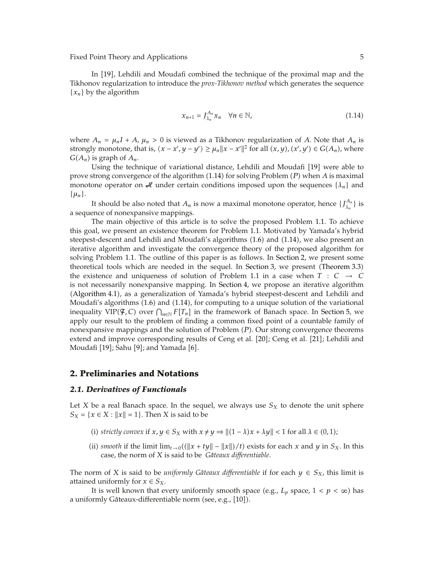In [19], Lehdili and Moudafi combined the technique of the proximal map and the Tikhonov regularization to introduce the *prox-Tikhonov method* which generates the sequence  ${x_n}$  by the algorithm

$$
x_{n+1} = J_{\lambda_n}^{A_n} x_n \quad \forall n \in \mathbb{N}, \tag{1.14}
$$

where  $A_n = \mu_n I + A$ ,  $\mu_n > 0$  is viewed as a Tikhonov regularization of *A*. Note that  $A_n$  is strongly monotone, that is,  $\langle x - x', y - y' \rangle \ge \mu_n ||x - x'||^2$  for all  $(x, y), (x', y') \in G(A_n)$ , where  $G(A_n)$  is graph of  $A_n$ .

Using the technique of variational distance, Lehdili and Moudafi [19] were able to prove strong convergence of the algorithm  $(1.14)$  for solving Problem (P) when A is maximal monotone operator on  $\mathcal{L}$  under certain conditions imposed upon the sequences  $\{\lambda_n\}$  and  $\{\mu_n\}.$ 

It should be also noted that  $A_n$  is now a maximal monotone operator, hence  $\{f_{\lambda_n}^{A_n}\}$  is a sequence of nonexpansive mappings.

The main objective of this article is to solve the proposed Problem 1.1. To achieve this goal, we present an existence theorem for Problem 1.1. Motivated by Yamada's hybrid steepest-descent and Lehdili and Moudafi's algorithms (1.6) and (1.14), we also present an iterative algorithm and investigate the convergence theory of the proposed algorithm for solving Problem 1.1. The outline of this paper is as follows. In Section 2, we present some theoretical tools which are needed in the sequel. In Section 3, we present (Theorem  $3.3$ ) the existence and uniqueness of solution of Problem 1.1 in a case when  $T : C \rightarrow C$ is not necessarily nonexpansive mapping. In Section 4, we propose an iterative algorithm (Algorithm 4.1), as a generalization of Yamada's hybrid steepest-descent and Lehdili and Moudafi's algorithms (1.6) and (1.14), for computing to a unique solution of the variational inequality  $VIP(\mathcal{F}, C)$  over  $\bigcap_{n \in \mathbb{N}} F[T_n]$  in the framework of Banach space. In Section 5, we apply our result to the problem of finding a common fixed point of a countable family of nonexpansive mappings and the solution of Problem (P). Our strong convergence theorems extend and improve corresponding results of Ceng et al. [20]; Ceng et al. [21]; Lehdili and Moudafi [19]; Sahu [9]; and Yamada [6].

### **2. Preliminaries and Notations**

### *2.1. Derivatives of Functionals*

Let *X* be a real Banach space. In the sequel, we always use  $S_X$  to denote the unit sphere  $S_X = \{x \in X : ||x|| = 1\}$ . Then *X* is said to be

- (i) *strictly convex* if  $x, y \in S_X$  with  $x \neq y \Rightarrow ||(1 \lambda)x + \lambda y|| < 1$  for all  $\lambda \in (0, 1)$ ;
- (ii) *smooth* if the limit  $\lim_{t\to 0}((\|x+ty\|-\|x\|)/t)$  exists for each *x* and *y* in *S<sub>X</sub>*. In this case, the norm of *X* is said to be *Gateaux di ˆ fferentiable*.

The norm of *X* is said to be *uniformly Gâteaux differentiable* if for each  $y \in S_X$ , this limit is attained uniformly for  $x \in S_X$ .

It is well known that every uniformly smooth space (e.g.,  $L_p$  space,  $1 < p < \infty$ ) has a uniformly Gâteaux-differentiable norm (see, e.g., [10]).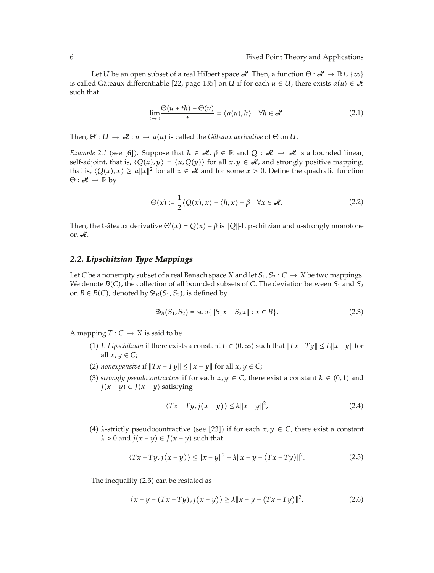Let *U* be an open subset of a real Hilbert space  $\mathcal{A}$ . Then, a function  $\Theta : \mathcal{A} \to \mathbb{R} \cup \{\infty\}$ is called Gâteaux differentiable [22, page 135] on *U* if for each  $u \in U$ , there exists  $a(u) \in \mathcal{U}$ such that

$$
\lim_{t \to 0} \frac{\Theta(u + th) - \Theta(u)}{t} = \langle a(u), h \rangle \quad \forall h \in \mathcal{A}.
$$
 (2.1)

Then,  $\Theta' : U \to \mathcal{A} : u \to a(u)$  is called the *Gâteaux derivative* of  $\Theta$  on *U*.

*Example 2.1* (see [6]). Suppose that  $h \in \mathcal{H}$ ,  $\beta \in \mathbb{R}$  and  $Q : \mathcal{H} \to \mathcal{H}$  is a bounded linear, self-adjoint, that is,  $\langle Q(x), y \rangle = \langle x, Q(y) \rangle$  for all  $x, y \in \mathcal{A}$ , and strongly positive mapping, that is,  $\langle Q(x), x \rangle \ge \alpha ||x||^2$  for all  $x \in \mathcal{A}$  and for some  $\alpha > 0$ . Define the quadratic function  $\Theta : \mathcal{A} \to \mathbb{R}$  by

$$
\Theta(x) := \frac{1}{2} \langle Q(x), x \rangle - \langle h, x \rangle + \beta \quad \forall x \in \mathcal{A}.
$$
 (2.2)

Then, the Gâteaux derivative  $\Theta'(x) = Q(x) - \beta$  is  $||Q||$ -Lipschitzian and *α*-strongly monotone on  $\mathcal{A}$ .

### *2.2. Lipschitzian Type Mappings*

Let *C* be a nonempty subset of a real Banach space *X* and let  $S_1, S_2 : C \rightarrow X$  be two mappings. We denote  $\mathcal{B}(C)$ , the collection of all bounded subsets of *C*. The deviation between  $S_1$  and  $S_2$ on  $B \in \mathcal{B}(C)$ , denoted by  $\mathfrak{D}_B(S_1, S_2)$ , is defined by

$$
\mathfrak{D}_B(S_1, S_2) = \sup\{\|S_1 x - S_2 x\| : x \in B\}.
$$
\n(2.3)

A mapping  $T: C \rightarrow X$  is said to be

- (1) *L*-*Lipschitzian* if there exists a constant *L* ∈ (0, ∞) such that  $||Tx Ty|| \le L||x y||$  for all  $x, y \in C$ ;
- (2) *nonexpansive* if  $||Tx Ty|| \le ||x y||$  for all  $x, y \in C$ ;
- (3) *strongly pseudocontractive* if for each  $x, y \in C$ , there exist a constant  $k \in (0,1)$  and *j*(*x* − *y*) ∈ *J*(*x* − *y*) satisfying

$$
\langle Tx - Ty, j(x - y) \rangle \le k \|x - y\|^2, \tag{2.4}
$$

(4) *λ*-strictly pseudocontractive (see [23]) if for each  $x, y \in C$ , there exist a constant  $\lambda > 0$  and  $j(x - y) \in J(x - y)$  such that

$$
\langle Tx - Ty, j(x - y) \rangle \le ||x - y||^2 - \lambda ||x - y - (Tx - Ty)||^2. \tag{2.5}
$$

The inequality (2.5) can be restated as

$$
\langle x-y-(Tx-Ty),j(x-y)\rangle \ge \lambda \|x-y-(Tx-Ty)\|^2. \tag{2.6}
$$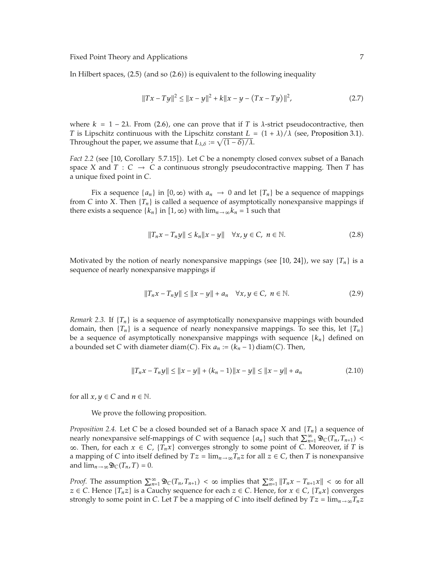In Hilbert spaces, (2.5) (and so (2.6)) is equivalent to the following inequality

$$
||Tx - Ty||^2 \le ||x - y||^2 + k||x - y - (Tx - Ty)||^2,
$$
\n(2.7)

where  $k = 1 - 2\lambda$ . From (2.6), one can prove that if *T* is  $\lambda$ -strict pseudocontractive, then *T* is Lipschitz continuous with the Lipschitz constant  $L = (1 + \lambda)/\lambda$  (see, Proposition 3.1). Throughout the paper, we assume that  $L_{\lambda,\delta} := \sqrt{(1 - \delta)/\lambda}$ .

Fact 2.2 (see [10, Corollary 5.7.15]). Let *C* be a nonempty closed convex subset of a Banach space *X* and *T* : *C*  $\rightarrow$  *C* a continuous strongly pseudocontractive mapping. Then *T* has a unique fixed point in *C*.

Fix a sequence  $\{a_n\}$  in  $[0,\infty)$  with  $a_n \to 0$  and let  $\{T_n\}$  be a sequence of mappings from *C* into *X*. Then  ${T_n}$  is called a sequence of asymptotically nonexpansive mappings if there exists a sequence  $\{k_n\}$  in  $[1, \infty)$  with  $\lim_{n\to\infty}k_n = 1$  such that

$$
||T_n x - T_n y|| \le k_n ||x - y|| \quad \forall x, y \in C, \ n \in \mathbb{N}.
$$
 (2.8)

Motivated by the notion of nearly nonexpansive mappings (see  $[10, 24]$ ), we say  $\{T_n\}$  is a sequence of nearly nonexpansive mappings if

$$
||T_n x - T_n y|| \le ||x - y|| + a_n \quad \forall x, y \in C, \ n \in \mathbb{N}.
$$
 (2.9)

*Remark 2.3.* If  $\{T_n\}$  is a sequence of asymptotically nonexpansive mappings with bounded domain, then  ${T_n}$  is a sequence of nearly nonexpansive mappings. To see this, let  ${T_n}$ be a sequence of asymptotically nonexpansive mappings with sequence {*kn*} defined on a bounded set *C* with diameter diam(*C*). Fix  $a_n := (k_n - 1)$  diam(*C*). Then,

$$
||T_n x - T_n y|| \le ||x - y|| + (k_n - 1)||x - y|| \le ||x - y|| + a_n
$$
\n(2.10)

for all  $x, y \in C$  and  $n \in \mathbb{N}$ .

We prove the following proposition.

*Proposition 2.4.* Let *C* be a closed bounded set of a Banach space *X* and {*Tn*} a sequence of nearly nonexpansive self-mappings of *C* with sequence  $\{a_n\}$  such that  $\sum_{n=1}^{\infty} \mathfrak{D}_C(T_n, T_{n+1})$ ∞. Then, for each  $x \in C$ ,  ${T_n x}$  converges strongly to some point of *C*. Moreover, if *T* is a mapping of *C* into itself defined by  $Tz = \lim_{n \to \infty} T_nz$  for all  $z \in C$ , then *T* is nonexpansive and  $\lim_{n\to\infty} \mathfrak{D}_C(T_n,T) = 0.$ 

*Proof.* The assumption  $\sum_{n=1}^{\infty} \mathfrak{D}_C(T_n, T_{n+1}) < \infty$  implies that  $\sum_{n=1}^{\infty} ||T_n x - T_{n+1} x|| < \infty$  for all *z* ∈ *C*. Hence {*T<sub>n</sub>z*} is a Cauchy sequence for each *z* ∈ *C*. Hence, for *x* ∈ *C*, {*T<sub>n</sub>x*} converges strongly to some point in *C*. Let *T* be a mapping of *C* into itself defined by  $Tz = \lim_{n \to \infty} T_nz$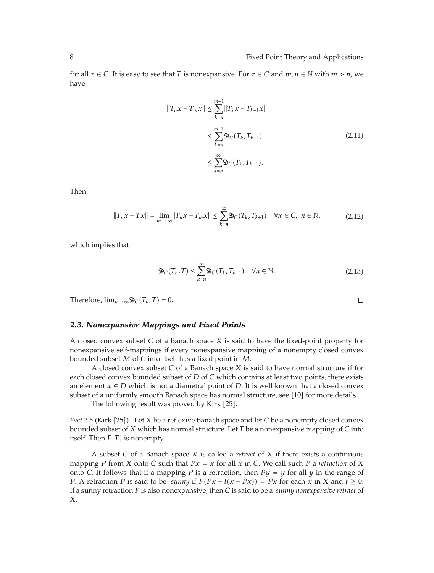for all  $z \in C$ . It is easy to see that *T* is nonexpansive. For  $z \in C$  and  $m, n \in \mathbb{N}$  with  $m > n$ , we have

$$
||T_n x - T_m x|| \le \sum_{k=n}^{m-1} ||T_k x - T_{k+1} x||
$$
  
\n
$$
\le \sum_{k=n}^{m-1} \mathfrak{D}_C(T_k, T_{k+1})
$$
  
\n
$$
\le \sum_{k=n}^{\infty} \mathfrak{D}_C(T_k, T_{k+1}).
$$
\n(2.11)

Then

$$
||T_n x - Tx|| = \lim_{m \to \infty} ||T_n x - T_m x|| \le \sum_{k=n}^{\infty} \mathfrak{D}_C(T_k, T_{k+1}) \quad \forall x \in C, \ n \in \mathbb{N},
$$
 (2.12)

which implies that

$$
\mathfrak{D}_C(T_n, T) \le \sum_{k=n}^{\infty} \mathfrak{D}_C(T_k, T_{k+1}) \quad \forall n \in \mathbb{N}.
$$
 (2.13)

Therefore,  $\lim_{n\to\infty} \mathfrak{D}_C(T_n, T) = 0.$ 

#### *2.3. Nonexpansive Mappings and Fixed Points*

A closed convex subset *C* of a Banach space *X* is said to have the fixed-point property for nonexpansive self-mappings if every nonexpansive mapping of a nonempty closed convex bounded subset *M* of *C* into itself has a fixed point in *M*.

A closed convex subset *C* of a Banach space *X* is said to have normal structure if for each closed convex bounded subset of *D* of *C* which contains at least two points, there exists an element  $x \in D$  which is not a diametral point of *D*. It is well known that a closed convex subset of a uniformly smooth Banach space has normal structure, see [10] for more details.

The following result was proved by Kirk [25].

Fact 2.5 (Kirk [25]). Let *X* be a reflexive Banach space and let *C* be a nonempty closed convex bounded subset of *X* which has normal structure. Let *T* be a nonexpansive mapping of *C* into itself. Then  $F[T]$  is nonempty.

A subset *C* of a Banach space *X* is called a *retract* of *X* if there exists a continuous mapping *P* from *X* onto *C* such that  $Px = x$  for all x in *C*. We call such *P* a *retraction* of *X* onto *C*. It follows that if a mapping *P* is a retraction, then  $Py = y$  for all *y* in the range of *P*. A retraction *P* is said to be *sunny* if  $P(Px + t(x - Px)) = Px$  for each *x* in *X* and  $t \ge 0$ . If a sunny retraction *P* is also nonexpansive, then *C* is said to be a *sunny nonexpansive retract* of *X*.

 $\Box$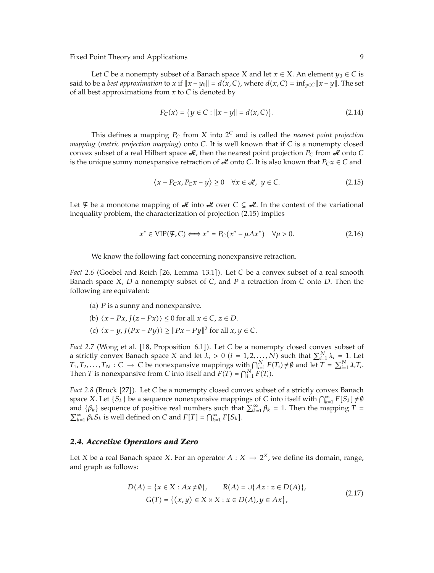Let *C* be a nonempty subset of a Banach space *X* and let  $x \in X$ . An element  $y_0 \in C$  is said to be a *best approximation* to *x* if  $||x - y_0|| = d(x, C)$ , where  $d(x, C) = inf_{y \in C} ||x - y||$ . The set of all best approximations from *x* to *C* is denoted by

$$
P_C(x) = \{ y \in C : ||x - y|| = d(x, C) \}.
$$
 (2.14)

This defines a mapping  $P_C$  from  $X$  into  $2^C$  and is called the *nearest point projection mapping* (*metric projection mapping*) onto *C*. It is well known that if *C* is a nonempty closed convex subset of a real Hilbert space  $\mathcal{A}$ , then the nearest point projection  $P_C$  from  $\mathcal{A}$  onto *C* is the unique sunny nonexpansive retraction of  $\mathcal{A}$  onto *C*. It is also known that  $P_Cx \in C$  and

$$
\langle x - P_C x, P_C x - y \rangle \ge 0 \quad \forall x \in \mathcal{A}, \ y \in C. \tag{2.15}
$$

Let  $\mathcal F$  be a monotone mapping of  $\mathcal A$  into  $\mathcal A$  over  $C \subseteq \mathcal A$ . In the context of the variational inequality problem, the characterization of projection (2.15) implies

$$
x^* \in \text{VIP}(\mathcal{F}, C) \Longleftrightarrow x^* = P_C(x^* - \mu A x^*) \quad \forall \mu > 0. \tag{2.16}
$$

We know the following fact concerning nonexpansive retraction.

Fact 2.6 (Goebel and Reich [26, Lemma 13.1]). Let *C* be a convex subset of a real smooth Banach space *X*, *D* a nonempty subset of *C*, and *P* a retraction from *C* onto *D*. Then the following are equivalent:

- (a)  *is a sunny and nonexpansive.*
- (b)  $\langle x Px, J(z Px) \rangle \leq 0$  for all  $x \in C, z \in D$ .
- (c)  $\langle x y, J(Px Py) \rangle \ge ||Px Py||^2$  for all  $x, y \in C$ .

Fact 2.7 (Wong et al. [18, Proposition 6.1]). Let *C* be a nonempty closed convex subset of a strictly convex Banach space *X* and let  $\lambda_i > 0$  ( $i = 1, 2, ..., N$ ) such that  $\sum_{i=1}^{N} \lambda_i = 1$ . Let  $T_1, T_2, \ldots, T_N : C \to C$  be nonexpansive mappings with  $\bigcap_{i=1}^N F(T_i) \neq \emptyset$  and let  $T = \sum_{i=1}^N \lambda_i T_i$ . Then *T* is nonexpansive from *C* into itself and  $F(T) = \bigcap_{i=1}^{N} F(T_i)$ .

Fact 2.8 (Bruck [27]). Let *C* be a nonempty closed convex subset of a strictly convex Banach space *X*. Let  $\{S_k\}$  be a sequence nonexpansive mappings of *C* into itself with  $\bigcap_{k=1}^{\infty} F[S_k] \neq \emptyset$ and { $\beta_k$ } sequence of positive real numbers such that  $\sum_{k=1}^{\infty} \beta_k = 1$ . Then the mapping *T* =  $\sum_{k=1}^{\infty} \beta_k S_k$  is well defined on *C* and  $F[T] = \bigcap_{k=1}^{\infty} F[S_k]$ .

### *2.4. Accretive Operators and Zero*

Let *X* be a real Banach space *X*. For an operator  $A: X \rightarrow 2^X$ , we define its domain, range, and graph as follows:

$$
D(A) = \{x \in X : Ax \neq \emptyset\}, \qquad R(A) = \cup \{Az : z \in D(A)\},\
$$
  

$$
G(T) = \{(x, y) \in X \times X : x \in D(A), y \in Ax\},\
$$
 (2.17)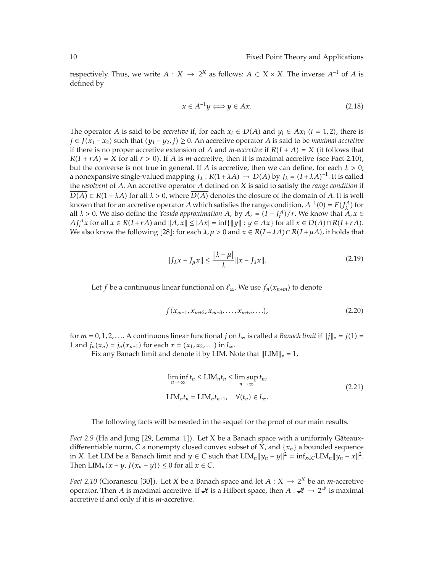respectively. Thus, we write  $A : X \to 2^X$  as follows:  $A \subset X \times X$ . The inverse  $A^{-1}$  of  $A$  is defined by

$$
x \in A^{-1}y \Longleftrightarrow y \in Ax. \tag{2.18}
$$

The operator *A* is said to be *accretive* if, for each  $x_i \in D(A)$  and  $y_i \in Ax_i$  ( $i = 1, 2$ ), there is *j* ∈ *J*( $x_1 - x_2$ ) such that  $\langle y_1 - y_2, j \rangle \ge 0$ . An accretive operator *A* is said to be *maximal accretive* if there is no proper accretive extension of *A* and *m*-accretive if  $R(I + A) = X$  (it follows that  $R(I + rA) = X$  for all  $r > 0$ ). If *A* is *m*-accretive, then it is maximal accretive (see Fact 2.10), but the converse is not true in general. If *A* is accretive, then we can define, for each *λ >* 0, a nonexpansive single-valued mapping  $J_\lambda$ :  $R(1 + \lambda A) \rightarrow D(A)$  by  $J_\lambda = (I + \lambda A)^{-1}$ . It is called the *resolvent* of *A*. An accretive operator *A* defined on *X* is said to satisfy the *range condition* if  $D(A) \subset R(1 + \lambda A)$  for all  $\lambda > 0$ , where  $D(A)$  denotes the closure of the domain of *A*. It is well known that for an accretive operator *A* which satisfies the range condition,  $A^{-1}(0) = F(J_A^A)$  for all  $\lambda > 0$ . We also define the *Yosida approximation*  $A_r$  by  $A_r = (I - J_r^A)/r$ . We know that  $A_r x \in$  $A J_r^A x$  for all  $x \in R(I + rA)$  and  $||A_r x|| \le |Ax| = \inf \{||y|| : y \in Ax\}$  for all  $x \in D(A) \cap R(I + rA)$ . We also know the following [28]: for each  $\lambda, \mu > 0$  and  $x \in R(I + \lambda A) \cap R(I + \mu A)$ , it holds that

$$
||J_{\lambda}x - J_{\mu}x|| \le \frac{|\lambda - \mu|}{\lambda} ||x - J_{\lambda}x||. \tag{2.19}
$$

Let *f* be a continuous linear functional on  $\ell_{\infty}$ . We use  $f_n(x_{n+m})$  to denote

$$
f(x_{m+1}, x_{m+2}, x_{m+3}, \dots, x_{m+n}, \dots), \tag{2.20}
$$

for  $m = 0, 1, 2, \ldots$  A continuous linear functional  $j$  on  $l_{\infty}$  is called a *Banach limit* if  $||j||_* = j(1) =$ 1 and  $j_n(x_n) = j_n(x_{n+1})$  for each  $x = (x_1, x_2, ...)$  in  $l_{\infty}$ .

Fix any Banach limit and denote it by LIM. Note that  $||LM||_* = 1$ ,

$$
\liminf_{n \to \infty} t_n \le \text{LIM}_n t_n \le \limsup_{n \to \infty} t_n,
$$
\n
$$
\text{LIM}_n t_n = \text{LIM}_n t_{n+1}, \quad \forall (t_n) \in l_\infty.
$$
\n(2.21)

The following facts will be needed in the sequel for the proof of our main results.

*Fact 2.9* (Ha and Jung [29, Lemma 1]). Let *X* be a Banach space with a uniformly Gâteauxdifferentiable norm, *C* a nonempty closed convex subset of *X*, and {*xn*} a bounded sequence in *X*. Let LIM be a Banach limit and *y* ∈ *C* such that LIM<sub>*n*</sub> $||y_n - y||^2 = inf_{x \in C}$ LIM<sub>*n*</sub> $||y_n - x||^2$ . Then  $\text{LIM}_n\langle x - y, J(x_n - y) \rangle \leq 0$  for all  $x \in C$ .

*Fact 2.10* (Cioranescu [30]). Let *X* be a Banach space and let  $A: X \rightarrow 2^X$  be an *m*-accretive operator. Then *A* is maximal accretive. If  $\mathcal A$  is a Hilbert space, then  $A : \mathcal A \to 2^{\mathcal A}$  is maximal accretive if and only if it is *m*-accretive.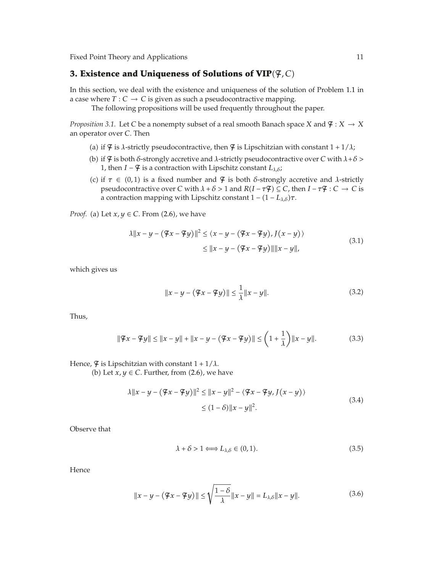## **3. Existence and Uniqueness of Solutions of VIP**-F*, C*

In this section, we deal with the existence and uniqueness of the solution of Problem 1.1 in a case where  $T: C \to C$  is given as such a pseudocontractive mapping.

The following propositions will be used frequently throughout the paper.

*Proposition 3.1.* Let *C* be a nonempty subset of a real smooth Banach space *X* and  $\mathcal{F}: X \to X$ an operator over *C*. Then

- (a) if  $\mathcal F$  is *λ*-strictly pseudocontractive, then  $\mathcal F$  is Lipschitzian with constant  $1 + 1/\lambda$ ;
- (b) if  $\varphi$  is both *δ*-strongly accretive and *λ*-strictly pseudocontractive over *C* with *λ*+*δ* > 1, then *I* −  $\frac{4}{7}$  is a contraction with Lipschitz constant  $L_{\lambda,\delta}$ ;
- (c) if  $\tau \in (0,1)$  is a fixed number and  $\mathfrak{F}$  is both *δ*-strongly accretive and *λ*-strictly pseudocontractive over *C* with  $\lambda + \delta > 1$  and  $R(I - \tau \mathcal{F}) \subseteq C$ , then  $I - \tau \mathcal{F} : C \to C$  is a contraction mapping with Lipschitz constant 1 − (1 − *L<sub>λ,δ</sub>*)τ.

*Proof.* (a) Let  $x, y \in C$ . From  $(2.6)$ , we have

$$
\lambda \|x - y - (\mathcal{F}x - \mathcal{F}y)\|^2 \le (x - y - (\mathcal{F}x - \mathcal{F}y), J(x - y))
$$
  
\n
$$
\le \|x - y - (\mathcal{F}x - \mathcal{F}y)\| \|x - y\|,
$$
\n(3.1)

which gives us

$$
||x - y - (\mathcal{F}x - \mathcal{F}y)|| \le \frac{1}{\lambda} ||x - y||.
$$
 (3.2)

Thus,

$$
\|\mathcal{F}x - \mathcal{F}y\| \le \|x - y\| + \|x - y - (\mathcal{F}x - \mathcal{F}y)\| \le \left(1 + \frac{1}{\lambda}\right) \|x - y\|.
$$
 (3.3)

Hence,  $\mathcal{F}$  is Lipschitzian with constant  $1 + 1/\lambda$ .

(b) Let  $x, y \in C$ . Further, from  $(2.6)$ , we have

$$
\lambda \|x - y - (\mathcal{F}x - \mathcal{F}y)\|^2 \le \|x - y\|^2 - \langle \mathcal{F}x - \mathcal{F}y, J(x - y) \rangle
$$
  
 
$$
\le (1 - \delta) \|x - y\|^2.
$$
 (3.4)

Observe that

$$
\lambda + \delta > 1 \Longleftrightarrow L_{\lambda,\delta} \in (0,1). \tag{3.5}
$$

Hence

$$
||x - y - (\mathcal{F}x - \mathcal{F}y)|| \le \sqrt{\frac{1 - \delta}{\lambda}} ||x - y|| = L_{\lambda, \delta} ||x - y||. \tag{3.6}
$$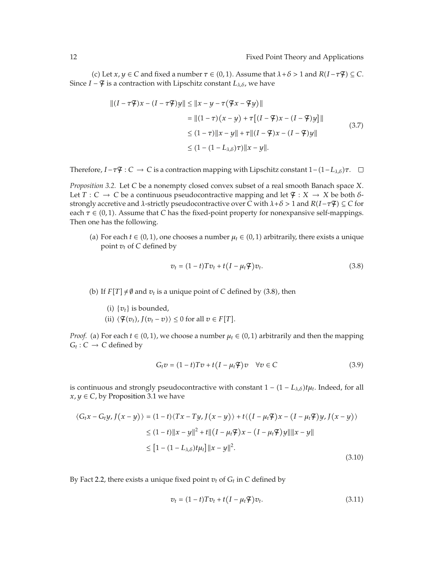(c) Let  $x, y \in C$  and fixed a number  $\tau \in (0, 1)$ . Assume that  $\lambda + \delta > 1$  and  $R(I - \tau \mathcal{F}) \subseteq C$ . Since *I* −  $\varphi$  is a contraction with Lipschitz constant  $L_{\lambda,\delta}$ , we have

$$
||(I - \tau \mathcal{F})x - (I - \tau \mathcal{F})y|| \le ||x - y - \tau(\mathcal{F}x - \mathcal{F}y)||
$$
  
\n
$$
= ||(1 - \tau)(x - y) + \tau[(I - \mathcal{F})x - (I - \mathcal{F})y]||
$$
  
\n
$$
\le (1 - \tau)||x - y|| + \tau||(I - \mathcal{F})x - (I - \mathcal{F})y||
$$
  
\n
$$
\le (1 - (1 - L_{\lambda, \delta})\tau)||x - y||.
$$
 (3.7)

Therefore,  $I - \tau \mathcal{F} : C \to C$  is a contraction mapping with Lipschitz constant  $1 - (1 - L_{\lambda, \delta})\tau$ .

*Proposition 3.2.* Let *C* be a nonempty closed convex subset of a real smooth Banach space *X*. Let *T* : *C*  $\rightarrow$  *C* be a continuous pseudocontractive mapping and let  $\mathcal{F}$  : *X*  $\rightarrow$  *X* be both *δ*strongly accretive and *λ*-strictly pseudocontractive over *C* with  $\lambda + \delta > 1$  and  $R(I - \tau \mathcal{F}) \subseteq C$  for each  $\tau \in (0, 1)$ . Assume that *C* has the fixed-point property for nonexpansive self-mappings. Then one has the following.

(a) For each  $t \in (0, 1)$ , one chooses a number  $\mu_t \in (0, 1)$  arbitrarily, there exists a unique point  $v_t$  of  $C$  defined by

$$
v_t = (1-t)Tv_t + t(I - \mu_t \mathcal{F})v_t.
$$
\n(3.8)

(b) If  $F[T] \neq \emptyset$  and  $v_t$  is a unique point of *C* defined by (3.8), then

- (i)  $\{v_t\}$  is bounded,
- (ii)  $\langle \mathcal{F}(v_t), J(v_t v) \rangle \leq 0$  for all  $v \in F[T]$ .

*Proof.* (a) For each  $t \in (0, 1)$ , we choose a number  $\mu_t \in (0, 1)$  arbitrarily and then the mapping  $G_t$  :  $C \rightarrow C$  defined by

$$
G_t v = (1 - t)Tv + t(I - \mu_t \mathcal{F})v \quad \forall v \in C
$$
\n(3.9)

is continuous and strongly pseudocontractive with constant  $1 - (1 - L_{\lambda,\delta})t\mu_t$ . Indeed, for all  $x, y \in C$ , by Proposition 3.1 we have

$$
\langle G_t x - G_t y, J(x - y) \rangle = (1 - t) \langle Tx - Ty, J(x - y) \rangle + t \langle (I - \mu_t \mathcal{F}) x - (I - \mu_t \mathcal{F}) y, J(x - y) \rangle
$$
  
\n
$$
\leq (1 - t) \|x - y\|^2 + t \| (I - \mu_t \mathcal{F}) x - (I - \mu_t \mathcal{F}) y \| \|x - y\|
$$
  
\n
$$
\leq [1 - (1 - L_{\lambda, \delta}) t \mu_t] \|x - y\|^2.
$$
\n(3.10)

By Fact 2.2, there exists a unique fixed point  $v_t$  of  $G_t$  in  $C$  defined by

$$
v_t = (1-t)Tv_t + t(I - \mu_t \mathcal{F})v_t.
$$
\n(3.11)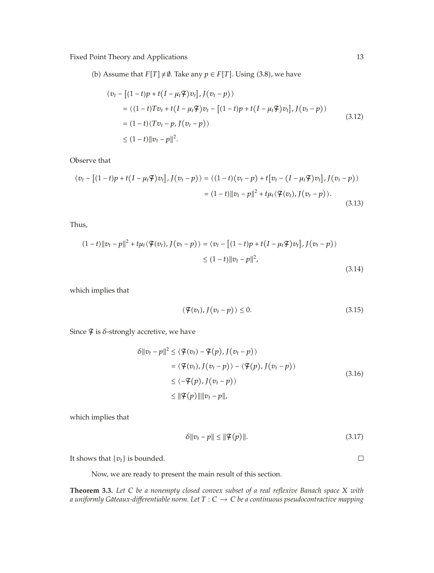(b) Assume that  $F[T] \neq \emptyset$ . Take any  $p \in F[T]$ . Using (3.8), we have

$$
\langle v_t - [(1-t)p + t(I - \mu_t \mathcal{F})v_t], J(v_t - p) \rangle
$$
  
=  $\langle (1-t)Tv_t + t(I - \mu_t \mathcal{F})v_t - [(1-t)p + t(I - \mu_t \mathcal{F})v_t], J(v_t - p) \rangle$   
=  $(1-t)\langle Tv_t - p, J(v_t - p) \rangle$   
 $\leq (1-t) ||v_t - p||^2.$  (3.12)

Observe that

$$
\langle v_t - \left[ (1-t)p + t(I - \mu_t \mathcal{F})v_t \right], J(v_t - p) \rangle = \langle (1-t)(v_t - p) + t \left[ v_t - (I - \mu_t \mathcal{F})v_t \right], J(v_t - p) \rangle
$$
  

$$
= (1-t) ||v_t - p||^2 + t\mu_t \langle \mathcal{F}(v_t), J(v_t - p) \rangle.
$$
 (3.13)

Thus,

$$
(1-t)\|v_t - p\|^2 + t\mu_t \langle \mathcal{F}(v_t), J(v_t - p) \rangle = \langle v_t - [(1-t)p + t(I - \mu_t \mathcal{F})v_t], J(v_t - p) \rangle
$$
  
 
$$
\leq (1-t)\|v_t - p\|^2,
$$
 (3.14)

which implies that

$$
\langle \mathcal{F}(v_t), J(v_t - p) \rangle \le 0. \tag{3.15}
$$

Since  $\mathcal F$  is  $\delta$ -strongly accretive, we have

$$
\delta ||v_t - p||^2 \le \langle \mathcal{F}(v_t) - \mathcal{F}(p), J(v_t - p) \rangle
$$
  
\n
$$
= \langle \mathcal{F}(v_t), J(v_t - p) \rangle - \langle \mathcal{F}(p), J(v_t - p) \rangle
$$
  
\n
$$
\le \langle -\mathcal{F}(p), J(v_t - p) \rangle
$$
  
\n
$$
\le ||\mathcal{F}(p)|| ||v_t - p||,
$$
\n(3.16)

which implies that

$$
\delta \|v_t - p\| \le \|\mathcal{F}(p)\|.\tag{3.17}
$$

It shows that  $\{v_t\}$  is bounded.

Now, we are ready to present the main result of this section.

**Theorem 3.3.** *Let <sup>C</sup> be a nonempty closed convex subset of a real reflexive Banach space <sup>X</sup> with a uniformly Gâteaux-differentiable norm. Let*  $T : C \rightarrow C$  *be a continuous pseudocontractive mapping* 

 $\Box$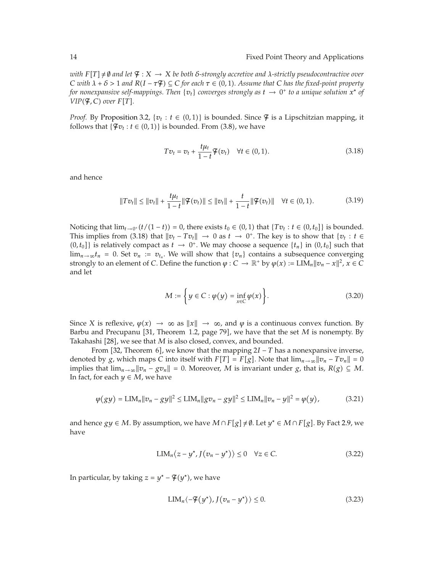*with*  $F[T] \neq \emptyset$  *and let*  $\mathcal{F}: X \to X$  *be both δ*-strongly accretive and  $\lambda$ -strictly pseudocontractive over *C* with  $\lambda + \delta > 1$  and  $R(I - \tau \mathcal{F}) \subseteq C$  for each  $\tau \in (0, 1)$ . Assume that *C* has the fixed-point property *for nonexpansive self-mappings. Then*  $\{v_t\}$  *converges strongly as*  $t \to 0^+$  *to a unique solution*  $x^*$  *of VIP*( $\mathcal{F}$ ,  $C$ ) over  $F[T]$ .

*Proof.* By Proposition 3.2,  $\{v_t : t \in (0,1)\}$  is bounded. Since  $\mathcal{F}$  is a Lipschitzian mapping, it follows that  $\{\mathcal{F}v_t : t \in (0,1)\}$  is bounded. From  $(3.8)$ , we have

$$
Tv_t = v_t + \frac{t\mu_t}{1-t}\mathcal{F}(v_t) \quad \forall t \in (0,1).
$$
\n(3.18)

and hence

$$
||Tv_t|| \le ||v_t|| + \frac{t\mu_t}{1-t}||\mathcal{F}(v_t)|| \le ||v_t|| + \frac{t}{1-t}||\mathcal{F}(v_t)|| \quad \forall t \in (0,1).
$$
 (3.19)

Noticing that  $\lim_{t\to 0^+} (t/(1-t)) = 0$ , there exists  $t_0 \in (0,1)$  that  $\{Tv_t : t \in (0,t_0]\}$  is bounded. This implies from (3.18) that  $\|v_t - Tv_t\| \to 0$  as  $t \to 0^+$ . The key is to show that  $\{v_t : t \in$  $(0, t_0]$ } is relatively compact as  $t \to 0^+$ . We may choose a sequence  $\{t_n\}$  in  $(0, t_0]$  such that  $\lim_{n\to\infty} t_n = 0$ . Set  $v_n := v_{t_n}$ . We will show that  $\{v_n\}$  contains a subsequence converging strongly to an element of *C*. Define the function  $\varphi : C \to \mathbb{R}^+$  by  $\varphi(x) := \text{LIM}_n ||v_n - x||^2$ ,  $x \in C$ and let

$$
M := \left\{ y \in C : \varphi(y) = \inf_{x \in C} \varphi(x) \right\}.
$$
 (3.20)

Since *X* is reflexive,  $\varphi(x) \to \infty$  as  $||x|| \to \infty$ , and  $\varphi$  is a continuous convex function. By Barbu and Precupanu [31, Theorem 1.2, page 79], we have that the set *M* is nonempty. By Takahashi [28], we see that *M* is also closed, convex, and bounded.

From 32, Theorem 6, we know that the mapping 2*I* − *T* has a nonexpansive inverse, denoted by *g*, which maps *C* into itself with  $F[T] = F[g]$ . Note that  $\lim_{n\to\infty} ||v_n - Tv_n|| = 0$ implies that  $\lim_{n\to\infty} ||v_n - gv_n|| = 0$ . Moreover, *M* is invariant under *g*, that is, *R*(*g*) ⊆ *M*. In fact, for each  $y \in M$ , we have

$$
\varphi(gy) = \text{LIM}_{n} \|v_{n} - gy\|^{2} \le \text{LIM}_{n} \|gv_{n} - gy\|^{2} \le \text{LIM}_{n} \|v_{n} - y\|^{2} = \varphi(y), \tag{3.21}
$$

and hence *gy* ∈ *M*. By assumption, we have  $M \cap F[g] \neq \emptyset$ . Let  $y^* \in M \cap F[g]$ . By Fact 2.9, we have

$$
LIM_n\langle z - y^*, J(v_n - y^*) \rangle \le 0 \quad \forall z \in C. \tag{3.22}
$$

In particular, by taking  $z = y^* - \mathcal{F}(y^*)$ , we have

$$
LIM_n\langle -\mathcal{F}(y^*) , J(v_n - y^*) \rangle \le 0.
$$
\n(3.23)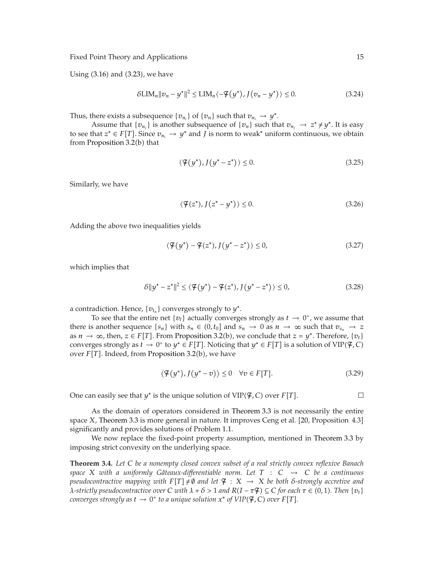Using (3.16) and (3.23), we have

$$
\delta \text{LIM}_n \|v_n - y^*\|^2 \le \text{LIM}_n \langle -\mathcal{F}(y^*) , J(v_n - y^*) \rangle \le 0. \tag{3.24}
$$

Thus, there exists a subsequence  $\{v_{n_i}\}$  of  $\{v_n\}$  such that  $v_{n_i} \to y^*$ .

Assume that  $\{v_{n_j}\}$  is another subsequence of  $\{v_n\}$  such that  $v_{n_j} \to z^* \neq y^*$ . It is easy to see that *z*<sup>∗</sup> ∈ *F*[*T*]. Since  $v_{n_i}$  → *y*<sup>∗</sup> and *J* is norm to weak<sup>∗</sup> uniform continuous, we obtain from Proposition 3.2(b) that

$$
\langle \mathcal{F}(y^*), J(y^* - z^*) \rangle \le 0. \tag{3.25}
$$

Similarly, we have

$$
\langle \mathcal{F}(z^*) , J(z^* - y^*) \rangle \le 0. \tag{3.26}
$$

Adding the above two inequalities yields

$$
\langle \mathcal{F}(y^*) - \mathcal{F}(z^*), J(y^* - z^*) \rangle \le 0,
$$
\n(3.27)

which implies that

$$
\delta \|y^* - z^*\|^2 \le \langle \mathcal{F}(y^*) - \mathcal{F}(z^*) , J(y^* - z^*) \rangle \le 0,
$$
\n(3.28)

a contradiction. Hence,  $\{v_{t_n}\}$  converges strongly to  $y^*$ .

To see that the entire net { $v_t$ } actually converges strongly as  $t \to 0^+$ , we assume that there is another sequence  $\{s_n\}$  with  $s_n \in (0, t_0]$  and  $s_n \to 0$  as  $n \to \infty$  such that  $v_{s_n} \to z$ as  $n \to \infty$ , then,  $z \in F[T]$ . From Proposition 3.2(b), we conclude that  $z = y^*$ . Therefore,  $\{v_t\}$ converges strongly as  $t \to 0^+$  to  $y^* \in F[T]$ . Noticing that  $y^* \in F[T]$  is a solution of VIP( $\mathfrak{F}, C$ ) over *F*[*T*]. Indeed, from Proposition 3.2(b), we have

$$
\langle \mathcal{F}(y^*), J(y^* - v) \rangle \le 0 \quad \forall v \in F[T]. \tag{3.29}
$$

One can easily see that  $y^*$  is the unique solution of  $\text{VIP}(\mathcal{F}, \mathcal{C})$  over  $F[T]$ .

 $\Box$ 

As the domain of operators considered in Theorem 3.3 is not necessarily the entire space *X*, Theorem 3.3 is more general in nature. It improves Ceng et al. [20, Proposition 4.3] significantly and provides solutions of Problem 1.1.

We now replace the fixed-point property assumption, mentioned in Theorem 3.3 by imposing strict convexity on the underlying space.

**Theorem 3.4.** *Let <sup>C</sup> be a nonempty closed convex subset of a real strictly convex reflexive Banach space X with a uniformly Gateaux-differentiable norm. Let*  $T : C \rightarrow C$  *be a continuous pseudocontractive mapping with*  $F[T] \neq \emptyset$  *and let*  $\mathcal{F}: X \rightarrow X$  *be both δ*-strongly accretive and *λ*-strictly pseudocontractive over C with  $\lambda + \delta > 1$  and  $R(I - \tau \mathcal{F}) \subseteq C$  for each  $\tau \in (0, 1)$ . Then  $\{v_t\}$ *converges strongly as*  $t \to 0^+$  to a unique solution  $x^*$  of  $VIP(\mathcal{F}, \mathcal{C})$  over  $F[T]$ .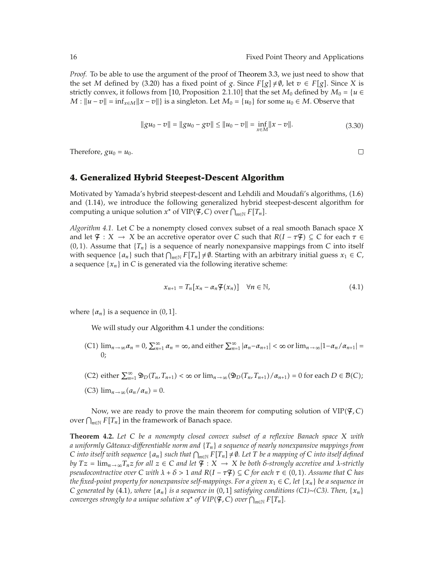$\Box$ 

*Proof.* To be able to use the argument of the proof of Theorem 3.3, we just need to show that the set *M* defined by (3.20) has a fixed point of *g*. Since  $F[g] \neq \emptyset$ , let  $v \in F[g]$ . Since *X* is strictly convex, it follows from [10, Proposition 2.1.10] that the set  $M_0$  defined by  $M_0 = \{u \in$  $M: ||u - v|| = \inf_{x \in M} ||x - v||$  is a singleton. Let  $M_0 = \{u_0\}$  for some  $u_0 \in M$ . Observe that

$$
||gu_0 - v|| = ||gu_0 - gv|| \le ||u_0 - v|| = \inf_{x \in M} ||x - v||.
$$
\n(3.30)

Therefore,  $gu_0 = u_0$ .

### **4. Generalized Hybrid Steepest-Descent Algorithm**

Motivated by Yamada's hybrid steepest-descent and Lehdili and Moudafi's algorithms, (1.6) and (1.14), we introduce the following generalized hybrid steepest-descent algorithm for computing a unique solution  $x^*$  of  $\text{VIP}(\mathcal{F}, \mathcal{C})$  over  $\bigcap_{n\in\mathbb{N}} F[T_n]$ .

*Algorithm 4.1.* Let *C* be a nonempty closed convex subset of a real smooth Banach space *X* and let  $\mathcal{F}: X \to X$  be an accretive operator over *C* such that  $R(I - \tau \mathcal{F}) \subseteq C$  for each  $\tau \in$  $(0, 1)$ . Assume that  ${T_n}$  is a sequence of nearly nonexpansive mappings from *C* into itself with sequence  $\{a_n\}$  such that  $\bigcap_{n\in\mathbb{N}} F[T_n] \neq \emptyset$ . Starting with an arbitrary initial guess  $x_1 \in C$ , a sequence  $\{x_n\}$  in *C* is generated via the following iterative scheme:

$$
x_{n+1} = T_n[x_n - \alpha_n \mathcal{F}(x_n)] \quad \forall n \in \mathbb{N}, \tag{4.1}
$$

where  $\{\alpha_n\}$  is a sequence in  $(0, 1]$ .

We will study our Algorithm 4.1 under the conditions:

- $(C1)$   $\lim_{n\to\infty} a_n = 0$ ,  $\sum_{n=1}^{\infty} a_n = \infty$ , and either  $\sum_{n=1}^{\infty} |a_n a_{n+1}| < \infty$  or  $\lim_{n\to\infty} |1 a_n/a_{n+1}| =$  $\theta$
- $(C2)$  either  $\sum_{n=1}^{\infty} \mathfrak{D}_D(T_n, T_{n+1}) < \infty$  or  $\lim_{n \to \infty} (\mathfrak{D}_D(T_n, T_{n+1}) / \alpha_{n+1}) = 0$  for each  $D \in \mathcal{B}(C)$ ; (C3)  $\lim_{n\to\infty} (a_n/\alpha_n) = 0.$

Now, we are ready to prove the main theorem for computing solution of VIP-F*, C* over  $\bigcap_{n\in\mathbb{N}} F[T_n]$  in the framework of Banach space.

**Theorem 4.2.** *Let <sup>C</sup> be a nonempty closed convex subset of a reflexive Banach space <sup>X</sup> with a uniformly Gateaux-di ˆ fferentiable norm and* {*Tn*} *a sequence of nearly nonexpansive mappings from C into itself with sequence* { $a_n$ } *such that*  $\bigcap_{n \in \mathbb{N}} F[T_n] \neq \emptyset$ . Let *T be a mapping of C into itself defined by*  $Tz = \lim_{n \to \infty} T_nz$  *for all*  $z \in C$  *and let*  $\mathcal{F}: X \to X$  *be both δ*-strongly accretive and  $\lambda$ -strictly *pseudocontractive over*  $C$  *with*  $\lambda + \delta > 1$  and  $R(I - \tau \mathcal{F}) \subseteq C$  for each  $\tau \in (0,1)$ . Assume that  $C$  *has the fixed-point property for nonexpansive self-mappings. For a given*  $x_1 \in C$ *, let*  $\{x_n\}$  *be a sequence in C* generated by (4.1), where  $\{\alpha_n\}$  is a sequence in (0,1] satisfying conditions (C1)∼*(C3). Then,*  $\{x_n\}$  $\alpha$  *converges strongly to a unique solution*  $x^*$  *of*  $VIP(\mathcal{F}, \mathcal{C})$  *over*  $\bigcap_{n\in\mathbb{N}}F[T_n].$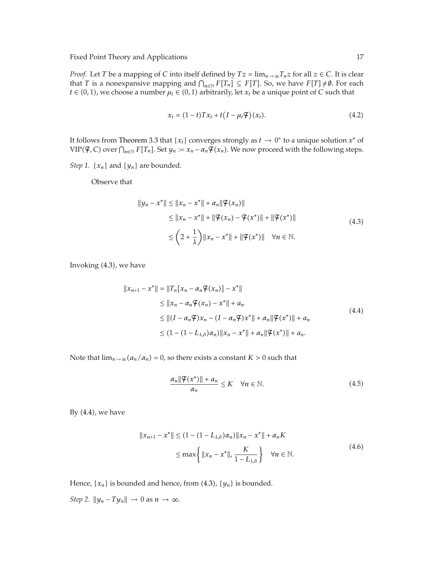*Proof.* Let *T* be a mapping of *C* into itself defined by  $Tz = \lim_{n \to \infty} T_nz$  for all  $z \in C$ . It is clear that *T* is a nonexpansive mapping and  $\bigcap_{n \in \mathbb{N}} F[T_n] \subseteq F[T]$ . So, we have  $F[T] ≠ ∅$ . For each  $t \in (0, 1)$ , we choose a number  $\mu_t \in (0, 1)$  arbitrarily, let  $x_t$  be a unique point of *C* such that

$$
x_t = (1-t)Tx_t + t(I - \mu_t \mathcal{F})(x_t).
$$
\n(4.2)

It follows from Theorem 3.3 that { $x_t$ } converges strongly as  $t \to 0^+$  to a unique solution  $x^*$  of  $VIP(\mathcal{F}, C)$  over  $\bigcap_{n\in\mathbb{N}} F[T_n]$ . Set  $y_n := x_n - a_n \mathcal{F}(x_n)$ . We now proceed with the following steps.

*Step 1.*  $\{x_n\}$  and  $\{y_n\}$  are bounded.

Observe that

$$
||y_n - x^*|| \le ||x_n - x^*|| + \alpha_n ||\mathcal{F}(x_n)||
$$
  
\n
$$
\le ||x_n - x^*|| + ||\mathcal{F}(x_n) - \mathcal{F}(x^*)|| + ||\mathcal{F}(x^*)||
$$
  
\n
$$
\le (2 + \frac{1}{\lambda}) ||x_n - x^*|| + ||\mathcal{F}(x^*)|| \quad \forall n \in \mathbb{N}.
$$
\n(4.3)

Invoking (4.3), we have

$$
||x_{n+1} - x^*|| = ||T_n[x_n - \alpha_n \mathcal{F}(x_n)] - x^*||
$$
  
\n
$$
\le ||x_n - \alpha_n \mathcal{F}(x_n) - x^*|| + a_n
$$
  
\n
$$
\le ||(I - \alpha_n \mathcal{F})x_n - (I - \alpha_n \mathcal{F})x^*|| + \alpha_n ||\mathcal{F}(x^*)|| + a_n
$$
  
\n
$$
\le (1 - (1 - L_{\lambda, \delta})\alpha_n) ||x_n - x^*|| + \alpha_n ||\mathcal{F}(x^*)|| + a_n.
$$
\n(4.4)

Note that  $\lim_{n\to\infty} (a_n/a_n) = 0$ , so there exists a constant  $K > 0$  such that

$$
\frac{\alpha_n \|\mathcal{F}(x^*)\| + a_n}{\alpha_n} \le K \quad \forall n \in \mathbb{N}.\tag{4.5}
$$

By  $(4.4)$ , we have

$$
||x_{n+1} - x^*|| \le (1 - (1 - L_{\lambda, \delta})\alpha_n) ||x_n - x^*|| + \alpha_n K
$$
  
 
$$
\le \max \left\{ ||x_n - x^*||, \frac{K}{1 - L_{\lambda, \delta}} \right\} \quad \forall n \in \mathbb{N}.
$$
 (4.6)

Hence,  $\{x_n\}$  is bounded and hence, from  $(4.3)$ ,  $\{y_n\}$  is bounded. *Step 2.*  $||y_n - Ty_n|| \to 0$  as  $n \to \infty$ .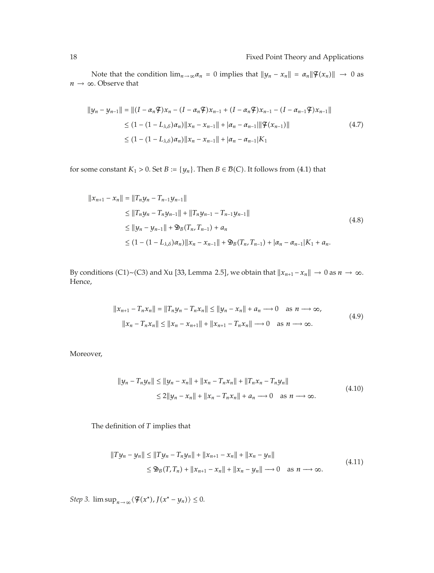Note that the condition  $\lim_{n\to\infty} a_n = 0$  implies that  $||y_n - x_n|| = a_n||\mathcal{F}(x_n)|| \to 0$  as  $n \rightarrow \infty$ . Observe that

$$
||y_n - y_{n-1}|| = ||(I - \alpha_n \mathcal{F})x_n - (I - \alpha_n \mathcal{F})x_{n-1} + (I - \alpha_n \mathcal{F})x_{n-1} - (I - \alpha_{n-1} \mathcal{F})x_{n-1}||
$$
  
\n
$$
\leq (1 - (1 - L_{\lambda, \delta})\alpha_n) ||x_n - x_{n-1}|| + |\alpha_n - \alpha_{n-1}||\mathcal{F}(x_{n-1})||
$$
  
\n
$$
\leq (1 - (1 - L_{\lambda, \delta})\alpha_n) ||x_n - x_{n-1}|| + |\alpha_n - \alpha_{n-1}| K_1
$$
\n(4.7)

for some constant  $K_1 > 0$ . Set  $B := \{y_n\}$ . Then  $B \in \mathcal{B}(C)$ . It follows from (4.1) that

$$
||x_{n+1} - x_n|| = ||T_n y_n - T_{n-1} y_{n-1}||
$$
  
\n
$$
\le ||T_n y_n - T_n y_{n-1}|| + ||T_n y_{n-1} - T_{n-1} y_{n-1}||
$$
  
\n
$$
\le ||y_n - y_{n-1}|| + \mathfrak{D}_B(T_n, T_{n-1}) + a_n
$$
  
\n
$$
\le (1 - (1 - L_{\lambda, \delta}) \alpha_n) ||x_n - x_{n-1}|| + \mathfrak{D}_B(T_n, T_{n-1}) + |\alpha_n - \alpha_{n-1}| K_1 + a_n.
$$
\n(4.8)

By conditions (C1)~(C3) and Xu [33, Lemma 2.5], we obtain that  $||x_{n+1} - x_n|| \to 0$  as  $n \to \infty$ . Hence,

$$
||x_{n+1} - T_n x_n|| = ||T_n y_n - T_n x_n|| \le ||y_n - x_n|| + a_n \longrightarrow 0 \text{ as } n \longrightarrow \infty,
$$
  

$$
||x_n - T_n x_n|| \le ||x_n - x_{n+1}|| + ||x_{n+1} - T_n x_n|| \longrightarrow 0 \text{ as } n \longrightarrow \infty.
$$
  
(4.9)

Moreover,

$$
||y_n - T_n y_n|| \le ||y_n - x_n|| + ||x_n - T_n x_n|| + ||T_n x_n - T_n y_n||
$$
  
\n
$$
\le 2||y_n - x_n|| + ||x_n - T_n x_n|| + a_n \to 0 \text{ as } n \to \infty.
$$
\n(4.10)

The definition of *T* implies that

$$
||Ty_n - y_n|| \le ||Ty_n - T_ny_n|| + ||x_{n+1} - x_n|| + ||x_n - y_n||
$$
  
\n
$$
\le \mathfrak{B}_B(T, T_n) + ||x_{n+1} - x_n|| + ||x_n - y_n|| \longrightarrow 0 \text{ as } n \longrightarrow \infty.
$$
\n(4.11)

*Step 3.*  $\limsup_{n\to\infty} \langle \mathcal{F}(x^*) , J(x^* - y_n) \rangle \leq 0.$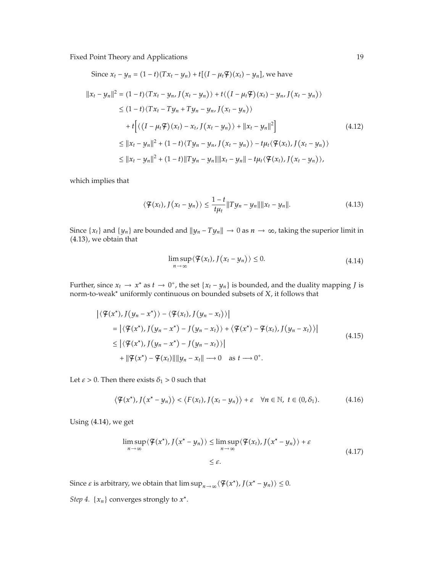Since 
$$
x_t - y_n = (1 - t)(Tx_t - y_n) + t[(I - \mu_t \mathcal{F})(x_t) - y_n]
$$
, we have  
\n
$$
||x_t - y_n||^2 = (1 - t)\langle Tx_t - y_n, J(x_t - y_n) \rangle + t\langle (I - \mu_t \mathcal{F})(x_t) - y_n, J(x_t - y_n) \rangle
$$
\n
$$
\leq (1 - t)\langle Tx_t - Ty_n + Ty_n - y_n, J(x_t - y_n) \rangle
$$
\n
$$
+ t\Big[\langle (I - \mu_t \mathcal{F})(x_t) - x_t, J(x_t - y_n) \rangle + ||x_t - y_n||^2\Big] \qquad (4.12)
$$
\n
$$
\leq ||x_t - y_n||^2 + (1 - t)\langle Ty_n - y_n, J(x_t - y_n) \rangle - t\mu_t \langle \mathcal{F}(x_t), J(x_t - y_n) \rangle
$$
\n
$$
\leq ||x_t - y_n||^2 + (1 - t)\|Ty_n - y_n\| ||x_t - y_n|| - t\mu_t \langle \mathcal{F}(x_t), J(x_t - y_n) \rangle,
$$

which implies that

$$
\langle \mathcal{F}(x_t), J(x_t - y_n) \rangle \le \frac{1 - t}{t\mu_t} ||Ty_n - y_n|| ||x_t - y_n||. \tag{4.13}
$$

Since  $\{x_t\}$  and  $\{y_n\}$  are bounded and  $\|y_n - Ty_n\| \to 0$  as  $n \to \infty$ , taking the superior limit in -4.13, we obtain that

$$
\limsup_{n \to \infty} \langle \mathcal{F}(x_t), J(x_t - y_n) \rangle \le 0. \tag{4.14}
$$

Further, since  $x_t \to x^*$  as  $t \to 0^+$ , the set  $\{x_t - y_n\}$  is bounded, and the duality mapping *J* is norm-to-weak<sup>∗</sup> uniformly continuous on bounded subsets of *X*, it follows that

$$
\begin{aligned}\n\left| \langle \mathcal{F}(x^*), J(y_n - x^*) \rangle - \langle \mathcal{F}(x_t), J(y_n - x_t) \rangle \right| \\
&= \left| \langle \mathcal{F}(x^*), J(y_n - x^*) - J(y_n - x_t) \rangle + \langle \mathcal{F}(x^*) - \mathcal{F}(x_t), J(y_n - x_t) \rangle \right| \\
&\leq \left| \langle \mathcal{F}(x^*), J(y_n - x^*) - J(y_n - x_t) \rangle \right| \\
&\quad + \|\mathcal{F}(x^*) - \mathcal{F}(x_t)\| \|y_n - x_t\| \longrightarrow 0 \quad \text{as } t \longrightarrow 0^+.\n\end{aligned} \tag{4.15}
$$

Let  $\varepsilon > 0$ . Then there exists  $\delta_1 > 0$  such that

$$
\langle \mathcal{F}(x^*), J(x^* - y_n) \rangle < \langle F(x_t), J(x_t - y_n) \rangle + \varepsilon \quad \forall n \in \mathbb{N}, \ t \in (0, \delta_1). \tag{4.16}
$$

Using (4.14), we get

$$
\limsup_{n \to \infty} \langle \mathcal{F}(x^*), J(x^* - y_n) \rangle \leq \limsup_{n \to \infty} \langle \mathcal{F}(x_t), J(x^* - y_n) \rangle + \varepsilon
$$
\n
$$
\leq \varepsilon.
$$
\n(4.17)

Since  $\varepsilon$  is arbitrary, we obtain that  $\limsup_{n\to\infty} \langle \mathcal{F}(x^*), J(x^* - y_n) \rangle \leq 0$ .

*Step 4.* { $x_n$ } converges strongly to  $x^*$ .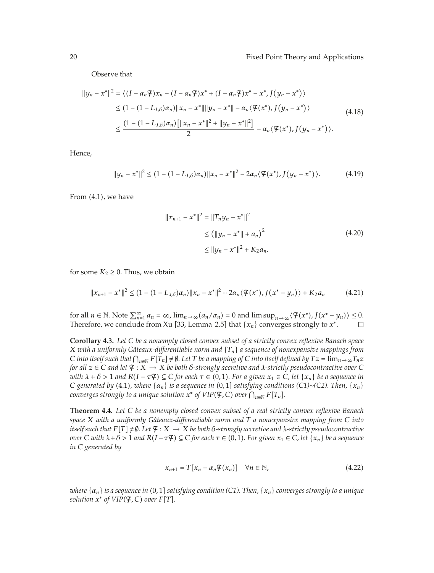Observe that

$$
||y_n - x^*||^2 = \langle (I - \alpha_n \mathcal{F})x_n - (I - \alpha_n \mathcal{F})x^* + (I - \alpha_n \mathcal{F})x^* - x^*, J(y_n - x^*) \rangle
$$
  
\n
$$
\leq (1 - (1 - L_{\lambda, \delta})\alpha_n) ||x_n - x^*|| ||y_n - x^*|| - \alpha_n \langle \mathcal{F}(x^*), J(y_n - x^*) \rangle
$$
  
\n
$$
\leq \frac{(1 - (1 - L_{\lambda, \delta})\alpha_n) [||x_n - x^*||^2 + ||y_n - x^*||^2]}{2} - \alpha_n \langle \mathcal{F}(x^*), J(y_n - x^*) \rangle.
$$
\n(4.18)

Hence,

$$
||y_n - x^*||^2 \le (1 - (1 - L_{\lambda, \delta})\alpha_n) ||x_n - x^*||^2 - 2\alpha_n \langle \mathcal{F}(x^*), J(y_n - x^*) \rangle.
$$
 (4.19)

From (4.1), we have

$$
||x_{n+1} - x^*||^2 = ||T_n y_n - x^*||^2
$$
  
\n
$$
\leq (||y_n - x^*|| + a_n)^2
$$
  
\n
$$
\leq ||y_n - x^*||^2 + K_2 a_n.
$$
\n(4.20)

for some  $K_2 \geq 0$ . Thus, we obtain

$$
||x_{n+1} - x^*||^2 \le (1 - (1 - L_{\lambda, \delta})\alpha_n) ||x_n - x^*||^2 + 2\alpha_n \langle \mathcal{F}(x^*), J(x^* - y_n) \rangle + K_2 a_n \tag{4.21}
$$

for all  $n \in \mathbb{N}$ . Note  $\sum_{n=1}^{\infty} a_n = \infty$ ,  $\lim_{n \to \infty} (a_n/a_n) = 0$  and  $\limsup_{n \to \infty} \langle \mathcal{F}(x^*) , J(x^* - y_n) \rangle \leq 0$ . Therefore, we conclude from Xu [33, Lemma 2.5] that  ${x_n}$  converges strongly to  $x^*$ .  $\Box$ 

**Corollary 4.3.** *Let <sup>C</sup> be a nonempty closed convex subset of a strictly convex reflexive Banach space X with a uniformly Gâteaux-differentiable norm and*  $\{T_n\}$  *a sequence of nonexpansive mappings from*  $C$  *into itself such that*  $\bigcap_{n\in\mathbb{N}} F[T_n] \neq \emptyset$ . Let  $T$  be a mapping of  $C$  *into itself defined by*  $Tz = \lim_{n\to\infty} T_nz$ *for all*  $z \in C$  *and let*  $\mathcal{F}: X \to X$  *be both δ*-strongly accretive and *λ*-strictly pseudocontractive over *C with*  $\lambda + \delta > 1$  *and*  $R(I - \tau \mathcal{F}) \subseteq C$  *for each*  $\tau \in (0, 1)$ . For a given  $x_1 \in C$ , let  $\{x_n\}$  be a sequence in  $C$  *generated by* (4.1), where  $\{\alpha_n\}$  *is a sequence in* (0,1] *satisfying conditions* (C1)∼*(C2). Then,*  $\{x_n\}$  $\alpha$  *converges strongly to a unique solution*  $x^*$  *of*  $VIP(\mathcal{F}, \mathcal{C})$  *over*  $\bigcap_{n\in\mathbb{N}}F[T_n].$ 

**Theorem 4.4.** *Let <sup>C</sup> be a nonempty closed convex subset of a real strictly convex reflexive Banach space X with a uniformly Gateaux-di ˆ fferentiable norm and T a nonexpansive mapping from C into itself such that*  $F[T] \neq \emptyset$ . Let  $\mathcal{F}: X \to X$  be both  $\delta$ -strongly accretive and  $\lambda$ -strictly pseudocontractive over C with  $\lambda + \delta > 1$  and  $R(I - \tau \mathcal{F}) \subseteq C$  for each  $\tau \in (0, 1)$ . For given  $x_1 \in C$ , let  $\{x_n\}$  be a sequence *in C generated by*

$$
x_{n+1} = T[x_n - \alpha_n \mathcal{F}(x_n)] \quad \forall n \in \mathbb{N}, \tag{4.22}
$$

 $\alpha_n$  *is a sequence in* (0, 1] satisfying condition (C1). Then,  $\{x_n\}$  converges strongly to a unique  $solution x^* of VIP(\mathcal{F}, \mathcal{C}) over F[T].$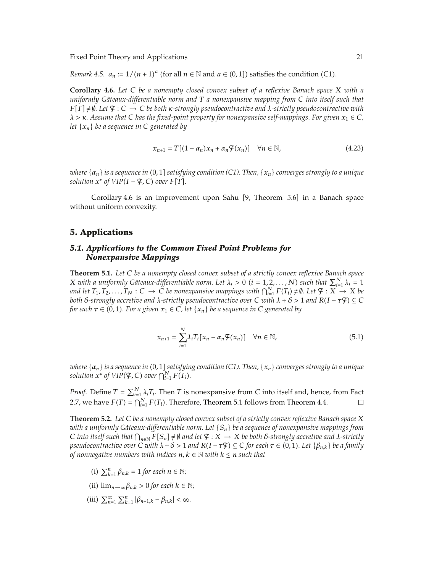*Remark 4.5.*  $a_n := 1/(n+1)^a$  (for all  $n \in \mathbb{N}$  and  $a \in (0,1]$ ) satisfies the condition (C1).

**Corollary 4.6.** *Let <sup>C</sup> be a nonempty closed convex subset of a reflexive Banach space <sup>X</sup> with a uniformly Gateaux-di ˆ fferentiable norm and T a nonexpansive mapping from C into itself such that*  $F[T] \neq \emptyset$ . Let  $\mathcal{F}: C \to C$  be both  $\kappa$ -strongly pseudocontractive and  $\lambda$ -strictly pseudocontractive with  $\lambda$  >  $\kappa$ *. Assume that C has the fixed-point property for nonexpansive self-mappings. For given*  $x_1 \in C$ *, let* {*xn*} *be a sequence in C generated by*

$$
x_{n+1} = T[(1 - \alpha_n)x_n + \alpha_n \mathcal{F}(x_n)] \quad \forall n \in \mathbb{N},
$$
\n(4.23)

 $\alpha_n$  *is a sequence in (0,1] satisfying condition (C1). Then, {x<sub>n</sub>} converges strongly to a unique*  $solution x^* of VIP(I - \mathcal{F}, \mathcal{C}) over F[T].$ 

Corollary 4.6 is an improvement upon Sahu [9, Theorem 5.6] in a Banach space without uniform convexity.

### **5. Applications**

### *5.1. Applications to the Common Fixed Point Problems for Nonexpansive Mappings*

**Theorem 5.1.** *Let <sup>C</sup> be a nonempty closed convex subset of a strictly convex reflexive Banach space X* with a uniformly Gâteaux-differentiable norm. Let  $\lambda_i > 0$  ( $i = 1, 2, ..., N$ ) such that  $\sum_{i=1}^{N} \lambda_i = 1$ *and let*  $T_1, T_2, \ldots, T_N : C \to \tilde{C}$  *be nonexpansive mappings with*  $\bigcap_{i=1}^N F(T_i) \neq \emptyset$ *. Let*  $\mathcal{F} : X \to X$  *be both δ-strongly accretive and λ-strictly pseudocontractive over C with*  $\lambda + \delta > 1$  *and*  $R(I - \tau \mathcal{F}) \subseteq C$ *for each*  $\tau \in (0, 1)$ . For a given  $x_1 \in C$ , let  $\{x_n\}$  be a sequence in  $C$  generated by

$$
x_{n+1} = \sum_{i=1}^{N} \lambda_i T_i [x_n - \alpha_n \mathcal{F}(x_n)] \quad \forall n \in \mathbb{N},
$$
\n(5.1)

 $w$ here {α<sub>n</sub>} is a sequence in (0, 1] satisfying condition (C1). Then, {x<sub>n</sub>} converges strongly to a unique *solution*  $x^*$  *of*  $VIP(\mathcal{F}, \mathcal{C})$  *over*  $\bigcap_{i=1}^N F(T_i)$ *.* 

*Proof.* Define  $T = \sum_{i=1}^{N} \lambda_i T_i$ . Then *T* is nonexpansive from *C* into itself and, hence, from Fact 2.7, we have  $F(T) = \bigcap_{i=1}^{N} F(T_i)$ . Therefore, Theorem 5.1 follows from Theorem 4.4.  $\Box$ 

**Theorem 5.2.** *Let <sup>C</sup> be a nonempty closed convex subset of a strictly convex reflexive Banach space <sup>X</sup> with a uniformly Gateaux-di ˆ fferentiable norm. Let* {*Sn*} *be a sequence of nonexpansive mappings from*  $C$  *into itself such that*  $\bigcap_{n\in\mathbb{N}} F[S_n] \neq \emptyset$  *and let*  $\mathcal{F}: X \to X$  *be both*  $\delta$ *-strongly accretive and*  $\lambda$ *-strictly pseudocontractive over*  $C$  *with*  $\lambda + \delta > 1$  *and*  $R(I - \tau \mathcal{F}) \subseteq C$  *for each*  $\tau \in (0, 1)$ *. Let*  $\{\beta_{n,k}\}$  *be a family of nonnegative numbers with indices*  $n, k \in \mathbb{N}$  *with*  $k \leq n$  *such that* 

- (i)  $\sum_{k=1}^{n} \beta_{n,k} = 1$  *for each*  $n \in \mathbb{N}$ *;*
- (ii)  $\lim_{n\to\infty}\beta_{n,k} > 0$  *for each*  $k \in \mathbb{N}$ *;*
- $\min_{n=1}^{\infty} \sum_{k=1}^{n} |\beta_{n+1,k} \beta_{n,k}| < \infty$ .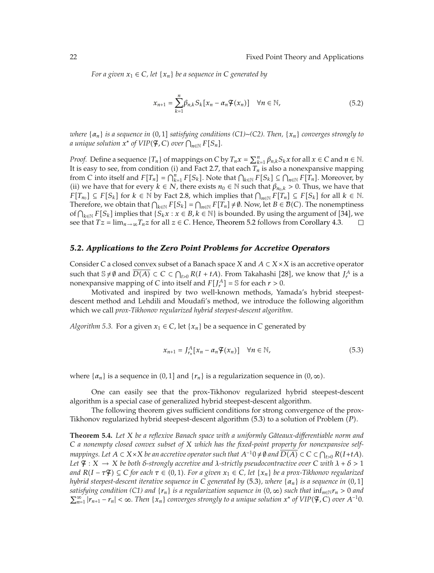*For a given*  $x_1 \in C$ , let  $\{x_n\}$  be a sequence in C generated by

$$
x_{n+1} = \sum_{k=1}^{n} \beta_{n,k} S_k [x_n - \alpha_n \mathcal{F}(x_n)] \quad \forall n \in \mathbb{N},
$$
\n(5.2)

*where* {α<sub>n</sub>} *is a sequence in* (0,1] *satisfying conditions* (C1)∼*(C2). Then, {x<sub>n</sub>} converges strongly to a* unique solution  $x^*$  of  $VIP(\mathcal{F}, \mathcal{C})$  over  $\bigcap_{n\in\mathbb{N}} F[S_n].$ 

*Proof.* Define a sequence  ${T_n}$  of mappings on *C* by  $T_n x = \sum_{k=1}^n \beta_{n,k} S_k x$  for all  $x \in C$  and  $n \in \mathbb{N}$ . It is easy to see, from condition (i) and Fact 2.7, that each  $T_n$  is also a nonexpansive mapping from *C* into itself and  $F[T_n] = \bigcap_{k=1}^n F[S_k]$ . Note that  $\bigcap_{k \in \mathbb{N}} F[S_k] \subseteq \bigcap_{n \in \mathbb{N}} F[T_n]$ . Moreover, by (ii) we have that for every  $k \in N$ , there exists  $n_0 \in \mathbb{N}$  such that  $\beta_{n_0,k} > 0$ . Thus, we have that *F*<sup>[*T<sub>n<sub>0</sub></sub>] ⊆ <i>F*<sup>[*S<sub>k</sub>*] for *k* ∈ N by Fact 2.8, which implies that  $\bigcap_{n \in \mathbb{N}} F[T_n]$  ⊆ *F*[*S<sub>k</sub>*] for all *k* ∈ N.</sup></sup> Therefore, we obtain that  $\bigcap_{k\in\mathbb{N}} F[S_k] = \bigcap_{n\in\mathbb{N}} F[T_n] \neq \emptyset$ . Now, let  $B \in \mathcal{B}(C)$ . The nonemptiness of  $\bigcap_{k \in \mathbb{N}} F[S_k]$  implies that  $\{S_k x : x \in B, k \in \mathbb{N}\}\)$  is bounded. By using the argument of [34], we see that  $Tz = \lim_{n \to \infty} T_n z$  for all  $z \in C$ . Hence, Theorem 5.2 follows from Corollary 4.3.

#### *5.2. Applications to the Zero Point Problems for Accretive Operators*

Consider *C* a closed convex subset of a Banach space *X* and *A* ⊂ *X*×*X* is an accretive operator such that  $\mathbb{S} \neq \emptyset$  and  $\overline{D(A)} \subset C \subset \bigcap_{t>0} R(I+tA)$ . From Takahashi [28], we know that  $J_r^A$  is a nonexpansive mapping of *C* into itself and  $F[J_r^A] = \mathbb{S}$  for each  $r > 0$ .

Motivated and inspired by two well-known methods, Yamada's hybrid steepestdescent method and Lehdili and Moudafi's method, we introduce the following algorithm which we call *prox-Tikhonov regularized hybrid steepest-descent algorithm*.

*Algorithm 5.3.* For a given  $x_1 \in C$ , let  $\{x_n\}$  be a sequence in *C* generated by

$$
x_{n+1} = J_{r_n}^A[x_n - \alpha_n \mathcal{F}(x_n)] \quad \forall n \in \mathbb{N},
$$
\n(5.3)

where  $\{\alpha_n\}$  is a sequence in  $(0, 1]$  and  $\{r_n\}$  is a regularization sequence in  $(0, \infty)$ .

One can easily see that the prox-Tikhonov regularized hybrid steepest-descent algorithm is a special case of generalized hybrid steepest-descent algorithm.

The following theorem gives sufficient conditions for strong convergence of the prox-Tikhonov regularized hybrid steepest-descent algorithm (5.3) to a solution of Problem (P).

**Theorem 5.4.** *Let X be a reflexive Banach space with a uniformly Gâteaux-differentiable norm and C a nonempty closed convex subset of X which has the fixed-point property for nonexpansive selfmappings.* Let  $A \subset X \times X$  be an accretive operator such that  $A^{-1}0 \neq \emptyset$  and  $D(A) \subset C \subset \bigcap_{t>0} R(I+tA)$ . *Let*  $\mathcal{F}: X \to X$  *be both δ*-strongly accretive and *λ*-strictly pseudocontractive over C with  $\lambda + \delta > 1$  $R(I - \tau \mathcal{F}) \subseteq C$  *for each*  $\tau \in (0, 1)$ . For a given  $x_1 \in C$ , let  $\{x_n\}$  be a prox-Tikhonov regularized *hybrid steepest-descent iterative sequence in C*  $_$  *generated by (5.3), where*  $\{\alpha_n\}$  *is a sequence in (0,1]*  $s$ *atisfying condition (C1) and*  $\{r_n\}$  *is a regularization sequence in*  $(0, \infty)$  *such that*  $\inf_{n \in \mathbb{N}} r_n > 0$  *and*  $\sum_{n=1}^{\infty} |r_{n+1} - r_n| < \infty$ . Then  $\{x_n\}$  converges strongly to a unique solution  $x^*$  of VIP( $\mathfrak{F}, C$ ) over  $A^{-1}0$ .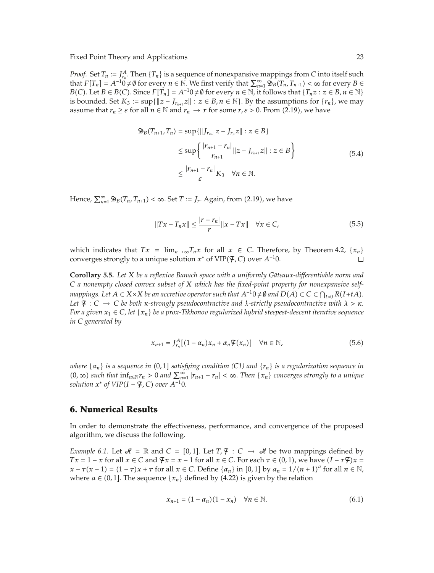*Proof.* Set  $T_n := \int_{r_n}^A T_n$ . Then  $\{T_n\}$  is a sequence of nonexpansive mappings from *C* into itself such that  $F[T_n] = A^{-1}0 \neq \emptyset$  for every  $n \in \mathbb{N}$ . We first verify that  $\sum_{n=1}^{\infty} \mathfrak{B}_B(T_n, T_{n+1}) < \infty$  for every  $B \in$  $B(C)$ . Let  $B \in B(C)$ . Since  $F[T_n] = A^{-1}0 \neq \emptyset$  for every  $n \in \mathbb{N}$ , it follows that  $\{T_n z : z \in B, n \in \mathbb{N}\}\$ is bounded. Set  $K_3 := \sup\{\|z - J_{r_{n+1}}z\| : z \in B, n \in \mathbb{N}\}\)$ . By the assumptions for  $\{r_n\}$ , we may assume that  $r_n \geq \varepsilon$  for all  $n \in \mathbb{N}$  and  $r_n \to r$  for some  $r, \varepsilon > 0$ . From (2.19), we have

$$
\mathfrak{D}_{B}(T_{n+1}, T_{n}) = \sup \{ \|J_{r_{n+1}} z - J_{r_{n}} z\| : z \in B \}
$$
  
\n
$$
\leq \sup \left\{ \frac{|r_{n+1} - r_{n}|}{r_{n+1}} \|z - J_{r_{n+1}} z\| : z \in B \right\}
$$
  
\n
$$
\leq \frac{|r_{n+1} - r_{n}|}{\varepsilon} K_{3} \quad \forall n \in \mathbb{N}.
$$
\n(5.4)

Hence,  $\sum_{n=1}^{\infty} \mathfrak{B}_B(T_n, T_{n+1}) < \infty$ . Set *T* := *J<sub>r</sub>*. Again, from (2.19), we have

$$
||Tx - T_n x|| \le \frac{|r - r_n|}{r} ||x - Tx|| \quad \forall x \in C,
$$
\n(5.5)

which indicates that  $Tx = \lim_{n \to \infty} T_n x$  for all  $x \in C$ . Therefore, by Theorem 4.2,  $\{x_n\}$  converges strongly to a unique solution  $x^*$  of  $VIP(\mathcal{F}, C)$  over  $A^{-1}0$ . converges strongly to a unique solution  $x^*$  of VIP( $\mathfrak{F}, C$ ) over  $A^{-1}0$ .

**Corollary 5.5.** *Let <sup>X</sup> be a reflexive Banach space with a uniformly Gateaux-di <sup>ˆ</sup> fferentiable norm and C a nonempty closed convex subset of X which has the fixed-point property for nonexpansive selfmappings.* Let  $A \subset X \times X$  be an accretive operator such that  $A^{-1}0 \neq \emptyset$  and  $D(A) \subset C \subset \bigcap_{t>0} R(I+tA)$ . *Let*  $\mathcal{F}: \mathcal{C} \to \mathcal{C}$  *be both κ*-strongly pseudocontractive and *λ*-strictly pseudocontractive with  $\lambda > \kappa$ . *For a given*  $x_1 \in C$ *, let*  $\{x_n\}$  *be a prox-Tikhonov regularized hybrid steepest-descent iterative sequence in C generated by*

$$
x_{n+1} = J_{r_n}^A [(1 - \alpha_n)x_n + \alpha_n \mathcal{F}(x_n)] \quad \forall n \in \mathbb{N},
$$
\n(5.6)

 $\nu$ here  $\{\alpha_n\}$  is a sequence in  $(0,1]$  satisfying condition (C1) and  $\{r_n\}$  is a regularization sequence in  $(0, \infty)$  such that  $\inf_{n \in \mathbb{N}} r_n > 0$  and  $\sum_{n=1}^{\infty} |r_{n+1} - r_n| < \infty$ . Then  $\{x_n\}$  converges strongly to a unique  $solution x^* of VIP(I - \mathcal{F}, C) over A^{-1}0.$ 

### **6. Numerical Results**

In order to demonstrate the effectiveness, performance, and convergence of the proposed algorithm, we discuss the following.

*Example 6.1.* Let  $\mathcal{A} = \mathbb{R}$  and  $C = [0, 1]$ . Let  $T, \mathcal{F} : C \rightarrow \mathcal{A}$  be two mappings defined by *Tx* = 1 − *x* for all  $x \in C$  and  $\mathcal{F}x = x - 1$  for all  $x \in C$ . For each  $\tau \in (0, 1)$ , we have  $(I - \tau \mathcal{F})x =$  $x - \tau(x - 1) = (1 - \tau)x + \tau$  for all  $x \in C$ . Define  $\{a_n\}$  in  $[0, 1]$  by  $a_n = 1/(n + 1)^a$  for all  $n \in \mathbb{N}$ , where  $a \in (0, 1]$ . The sequence  $\{x_n\}$  defined by  $(4.22)$  is given by the relation

$$
x_{n+1} = (1 - \alpha_n)(1 - x_n) \quad \forall n \in \mathbb{N}.
$$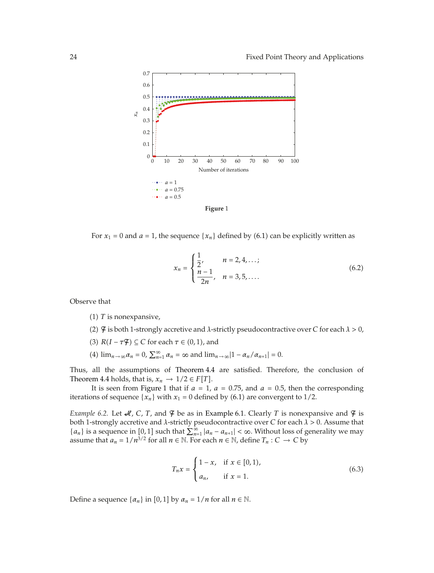



For  $x_1 = 0$  and  $a = 1$ , the sequence  $\{x_n\}$  defined by  $(6.1)$  can be explicitly written as

$$
x_n = \begin{cases} \frac{1}{2}, & n = 2, 4, \dots; \\ \frac{n-1}{2n}, & n = 3, 5, \dots. \end{cases}
$$
 (6.2)

Observe that

 $(1)$  *T* is nonexpansive,

- -2 F is both 1-strongly accretive and *λ*-strictly pseudocontractive over *C* for each *λ >* 0,
- (3)  $R(I \tau \mathcal{F}) \subseteq C$  for each  $\tau \in (0, 1)$ , and
- (4)  $\lim_{n \to \infty} \alpha_n = 0$ ,  $\sum_{n=1}^{\infty} \alpha_n = \infty$  and  $\lim_{n \to \infty} |1 \alpha_n / \alpha_{n+1}| = 0$ .

Thus, all the assumptions of Theorem 4.4 are satisfied. Therefore, the conclusion of Theorem 4.4 holds, that is,  $x_n \to 1/2 \in F[T]$ .

It is seen from Figure 1 that if  $a = 1$ ,  $a = 0.75$ , and  $a = 0.5$ , then the corresponding iterations of sequence  $\{x_n\}$  with  $x_1 = 0$  defined by  $(6.1)$  are convergent to  $1/2$ .

*Example 6.2.* Let  $\mathcal{A}$ , *C*, *T*, and  $\mathcal{F}$  be as in Example 6.1. Clearly *T* is nonexpansive and  $\mathcal{F}$  is both 1-strongly accretive and *λ*-strictly pseudocontractive over *C* for each *λ >* 0. Assume that { $a_n$ } is a sequence in [0, 1] such that  $\sum_{n=1}^{\infty} |a_n - a_{n+1}| < \infty$ . Without loss of generality we may assume that  $a_n = 1/n^{3/2}$  for all  $n \in \mathbb{N}$ . For each  $n \in \mathbb{N}$ , define  $T_n : C \to C$  by

$$
T_n x = \begin{cases} 1 - x, & \text{if } x \in [0, 1), \\ a_n, & \text{if } x = 1. \end{cases}
$$
 (6.3)

Define a sequence  $\{\alpha_n\}$  in [0, 1] by  $\alpha_n = 1/n$  for all  $n \in \mathbb{N}$ .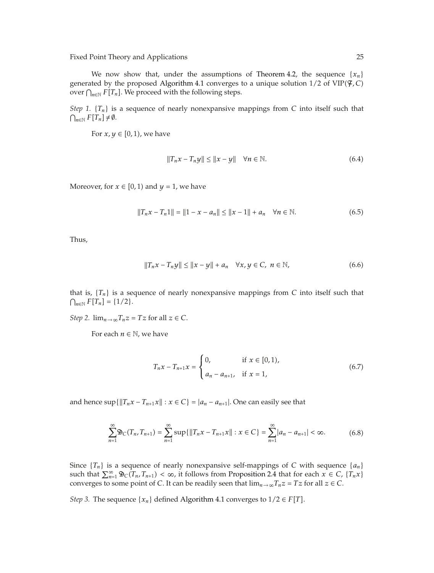We now show that, under the assumptions of Theorem 4.2, the sequence  ${x_n}$ generated by the proposed Algorithm 4.1 converges to a unique solution 1*/*2 of VIP-F*, C* over  $\bigcap_{n\in\mathbb{N}} F[T_n]$ . We proceed with the following steps.

*Step 1.*  ${T_n}$  is a sequence of nearly nonexpansive mappings from *C* into itself such that  $\bigcap_{n\in\mathbb{N}} F[T_n] \neq \emptyset.$ 

For  $x, y \in [0, 1)$ , we have

$$
||T_n x - T_n y|| \le ||x - y|| \quad \forall n \in \mathbb{N}.
$$
\n(6.4)

Moreover, for  $x \in [0, 1)$  and  $y = 1$ , we have

$$
||T_n x - T_n 1|| = ||1 - x - a_n|| \le ||x - 1|| + a_n \quad \forall n \in \mathbb{N}.
$$
 (6.5)

Thus,

$$
||T_n x - T_n y|| \le ||x - y|| + a_n \quad \forall x, y \in C, \ n \in \mathbb{N},
$$
\n
$$
(6.6)
$$

that is,  ${T_n}$  is a sequence of nearly nonexpansive mappings from *C* into itself such that  $\bigcap_{n\in\mathbb{N}} F[T_n] = \{1/2\}.$ 

*Step 2.*  $\lim_{n\to\infty}T_nz = Tz$  for all  $z \in C$ .

For each  $n \in \mathbb{N}$ , we have

$$
T_n x - T_{n+1} x = \begin{cases} 0, & \text{if } x \in [0, 1), \\ a_n - a_{n+1}, & \text{if } x = 1, \end{cases}
$$
 (6.7)

and hence  $\sup\{\|T_n x - T_{n+1}x\| : x \in C\} = |a_n - a_{n+1}|$ . One can easily see that

$$
\sum_{n=1}^{\infty} \mathfrak{D}_C(T_n, T_{n+1}) = \sum_{n=1}^{\infty} \sup \{ ||T_n x - T_{n+1} x|| : x \in C \} = \sum_{n=1}^{\infty} |a_n - a_{n+1}| < \infty.
$$
 (6.8)

Since  ${T_n}$  is a sequence of nearly nonexpansive self-mappings of *C* with sequence  ${a_n}$ such that  $\sum_{n=1}^{\infty} \mathfrak{D}_C(T_n, T_{n+1}) < \infty$ , it follows from Proposition 2.4 that for each  $x \in C$ ,  $\{T_n x\}$ converges to some point of *C*. It can be readily seen that  $\lim_{n\to\infty}T_nz = Tz$  for all  $z \in C$ .

*Step 3.* The sequence  $\{x_n\}$  defined Algorithm 4.1 converges to  $1/2 \in F[T]$ .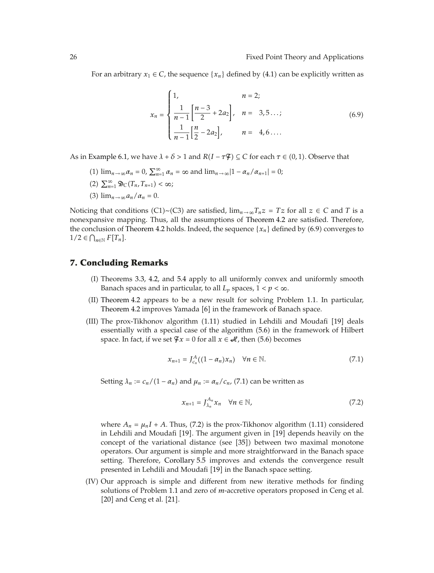For an arbitrary  $x_1 \in C$ , the sequence  $\{x_n\}$  defined by  $(4.1)$  can be explicitly written as

$$
x_n = \begin{cases} 1, & n = 2; \\ \frac{1}{n-1} \left[ \frac{n-3}{2} + 2a_2 \right], & n = 3, 5...; \\ \frac{1}{n-1} \left[ \frac{n}{2} - 2a_2 \right], & n = 4, 6... \end{cases}
$$
 (6.9)

As in Example 6.1, we have  $\lambda + \delta > 1$  and  $R(I - \tau \mathcal{F}) \subseteq C$  for each  $\tau \in (0, 1)$ . Observe that

- (1)  $\lim_{n \to \infty} \alpha_n = 0$ ,  $\sum_{n=1}^{\infty} \alpha_n = \infty$  and  $\lim_{n \to \infty} |1 \alpha_n / \alpha_{n+1}| = 0$ ;
- $(2)$   $\sum_{n=1}^{\infty} \mathfrak{D}_C(T_n, T_{n+1}) < \infty;$
- (3)  $\lim_{n\to\infty} a_n/\alpha_n = 0.$

Noticing that conditions (C1)∼(C3) are satisfied,  $\lim_{n\to\infty}T_nz = Tz$  for all  $z \in C$  and *T* is a nonexpansive mapping. Thus, all the assumptions of Theorem 4.2 are satisfied. Therefore, the conclusion of Theorem 4.2 holds. Indeed, the sequence  $\{x_n\}$  defined by  $(6.9)$  converges to  $1/2 \in \bigcap_{n \in \mathbb{N}} F[T_n].$ 

### **7. Concluding Remarks**

- (I) Theorems 3.3, 4.2, and 5.4 apply to all uniformly convex and uniformly smooth Banach spaces and in particular, to all  $L_p$  spaces,  $1 < p < \infty$ .
- -II Theorem 4.2 appears to be a new result for solving Problem 1.1. In particular, Theorem 4.2 improves Yamada [6] in the framework of Banach space.
- (III) The prox-Tikhonov algorithm (1.11) studied in Lehdili and Moudafi [19] deals essentially with a special case of the algorithm (5.6) in the framework of Hilbert space. In fact, if we set  $\mathcal{F}x = 0$  for all  $x \in \mathcal{H}$ , then (5.6) becomes

$$
x_{n+1} = J_{c_n}^A((1 - \alpha_n)x_n) \quad \forall n \in \mathbb{N}.
$$
 (7.1)

Setting  $\lambda_n := c_n/(1 - \alpha_n)$  and  $\mu_n := \alpha_n/c_n$ , (7.1) can be written as

$$
x_{n+1} = J_{\lambda_n}^{A_n} x_n \quad \forall n \in \mathbb{N}, \tag{7.2}
$$

where  $A_n = \mu_n I + A$ . Thus, (7.2) is the prox-Tikhonov algorithm (1.11) considered in Lehdili and Moudafi [19]. The argument given in [19] depends heavily on the concept of the variational distance (see [35]) between two maximal monotone operators. Our argument is simple and more straightforward in the Banach space setting. Therefore, Corollary 5.5 improves and extends the convergence result presented in Lehdili and Moudafi [19] in the Banach space setting.

-IV Our approach is simple and different from new iterative methods for finding solutions of Problem 1.1 and zero of *m*-accretive operators proposed in Ceng et al. [20] and Ceng et al.  $[21]$ .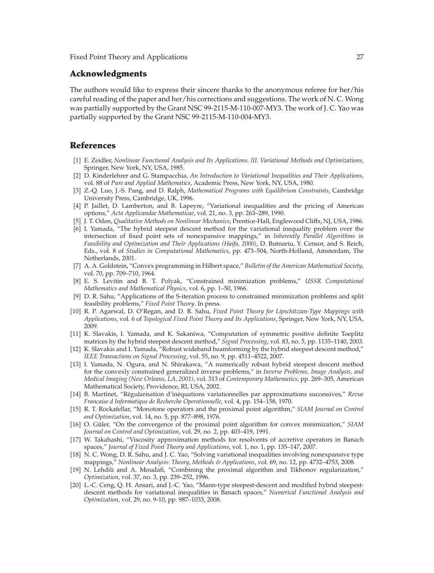## **Acknowledgments**

The authors would like to express their sincere thanks to the anonymous referee for her/his careful reading of the paper and her/his corrections and suggestions. The work of N. C. Wong was partially supported by the Grant NSC 99-2115-M-110-007-MY3. The work of J. C. Yao was partially supported by the Grant NSC 99-2115-M-110-004-MY3.

### **References**

- 1 E. Zeidler, *Nonlinear Functional Analysis and Its Applications. III. Variational Methods and Optimizations*, Springer, New York, NY, USA, 1985.
- 2 D. Kinderlehrer and G. Stampacchia, *An Introduction to Variational Inequalities and Their Applications*, vol. 88 of *Pure and Applied Mathematics*, Academic Press, New York, NY, USA, 1980.
- 3 Z.-Q. Luo, J.-S. Pang, and D. Ralph, *Mathematical Programs with Equilibrium Constraints*, Cambridge University Press, Cambridge, UK, 1996.
- 4 P. Jaillet, D. Lamberton, and B. Lapeyre, "Variational inequalities and the pricing of American options," *Acta Applicandae Mathematicae*, vol. 21, no. 3, pp. 263–289, 1990.
- 5 J. T. Oden, *Qualitative Methods on Nonlinear Mechanics*, Prentice-Hall, Englewood Cliffs, NJ, USA, 1986.
- 6 I. Yamada, "The hybrid steepest descent method for the variational inequality problem over the intersection of fixed point sets of nonexpansive mappings," in *Inherently Parallel Algorithms in Feasibility and Optimization and Their Applications (Haifa, 2000)*, D. Butnariu, Y. Censor, and S. Reich, Eds., vol. 8 of *Studies in Computational Mathematics*, pp. 473–504, North-Holland, Amsterdam, The Netherlands, 2001.
- 7 A. A. Goldstein, "Convex programming in Hilbert space," *Bulletin of the American Mathematical Society*, vol. 70, pp. 709–710, 1964.
- 8 E. S. Levitin and B. T. Polyak, "Constrained minimization problems," *USSR Computational Mathematics and Mathematical Physics*, vol. 6, pp. 1–50, 1966.
- 9 D. R. Sahu, "Applications of the S-iteration process to constrained minimization problems and split feasibility problems," *Fixed Point Theory*. In press.
- 10 R. P. Agarwal, D. O'Regan, and D. R. Sahu, *Fixed Point Theory for Lipschitzian-Type Mappings with Applications*, vol. 6 of *Topological Fixed Point Theory and Its Applications*, Springer, New York, NY, USA, 2009.
- [11] K. Slavakis, I. Yamada, and K. Sakaniwa, "Computation of symmetric positive definite Toeplitz matrices by the hybrid steepest descent method," *Signal Processing*, vol. 83, no. 5, pp. 1135–1140, 2003.
- [12] K. Slavakis and I. Yamada, "Robust wideband beamforming by the hybrid steepest descent method," *IEEE Transactions on Signal Processing*, vol. 55, no. 9, pp. 4511–4522, 2007.
- 13 I. Yamada, N. Ogura, and N. Shirakawa, "A numerically robust hybrid steepest descent method for the convexly constrained generalized inverse problems," in *Inverse Problems, Image Analysis, and Medical Imaging (New Orleans, LA, 2001)*, vol. 313 of *Contemporary Mathematics*, pp. 269–305, American Mathematical Society, Providence, RI, USA, 2002.
- [14] B. Martinet, "Régularisation d'inéquations variationnelles par approximations successives," Revue *Francaise d Informatique de Recherche Operationnelle*, vol. 4, pp. 154–158, 1970.
- 15 R. T. Rockafellar, "Monotone operators and the proximal point algorithm," *SIAM Journal on Control and Optimization*, vol. 14, no. 5, pp. 877–898, 1976.
- [16] O. Güler, "On the convergence of the proximal point algorithm for convex minimization," SIAM *Journal on Control and Optimization*, vol. 29, no. 2, pp. 403–419, 1991.
- 17 W. Takahashi, "Viscosity approximation methods for resolvents of accretive operators in Banach spaces," *Journal of Fixed Point Theory and Applications*, vol. 1, no. 1, pp. 135–147, 2007.
- [18] N. C. Wong, D. R. Sahu, and J. C. Yao, "Solving variational inequalities involving nonexpansive type mappings," *Nonlinear Analysis: Theory, Methods & Applications*, vol. 69, no. 12, pp. 4732–4753, 2008.
- 19 N. Lehdili and A. Moudafi, "Combining the proximal algorithm and Tikhonov regularization," *Optimization*, vol. 37, no. 3, pp. 239–252, 1996.
- 20 L.-C. Ceng, Q. H. Ansari, and J.-C. Yao, "Mann-type steepest-descent and modified hybrid steepestdescent methods for variational inequalities in Banach spaces," *Numerical Functional Analysis and Optimization*, vol. 29, no. 9-10, pp. 987–1033, 2008.